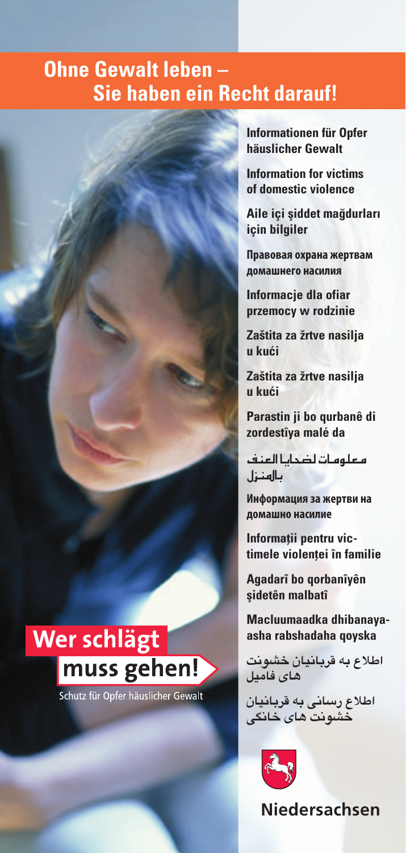# **Ohne Gewalt leben – Sie haben ein Recht darauf!**

**Informationen für Opfer häuslicher Gewalt**

**Information for victims of domestic violence**

**Aile içi şiddet mağdurları için bilgiler**

**Правовая охрана жертвам домашнего насилия**

**Informacje dla ofiar przemocy w rodzinie** 

**Zaštita za žrtve nasilja u kući**

**Zaštita za žrtve nasilja u kući**

**Parastin ji bo qurbanê di zordestîya malé da**

معلومات ل�ضحايا العنف بالهنزل

**Информация за жертви на домашно насилие** 

**Informații pentru victimele violenței în familie**

**Agadarî bo qorbanîyên şidetên malbatî**

**Macluumaadka dhibanayaasha rabshadaha qoyska** 

**اطالع به قربانیان خشونت های فامیل**

**اطالع رسانی به قربانیان خشونت های خانگی** 



**Niedersachsen**

# Wer schlägt muss gehen!

Schutz für Opfer häuslicher Gewalt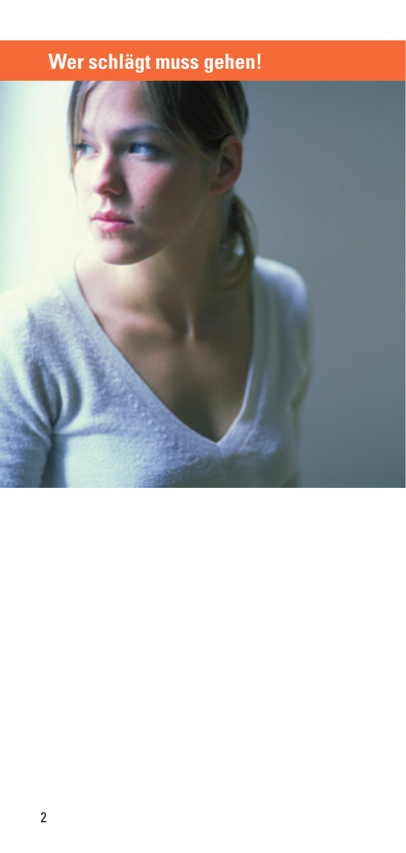# **Wer schlägt muss gehen!**

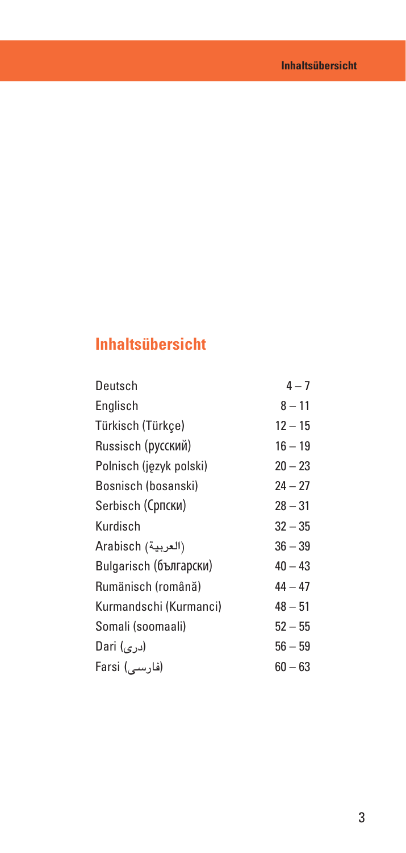# **Inhaltsübersicht**

| Deutsch                 | $4 - 7$   |
|-------------------------|-----------|
| Englisch                | $8 - 11$  |
| Türkisch (Türkçe)       | $12 - 15$ |
| Russisch (русский)      | $16 - 19$ |
| Polnisch (język polski) | $20 - 23$ |
| Bosnisch (bosanski)     | $24 - 27$ |
| Serbisch (Српски)       | $28 - 31$ |
| Kurdisch                | $32 - 35$ |
| Arabisch (العربية)      | $36 - 39$ |
| Bulgarisch (български)  | $40 - 43$ |
| Rumänisch (română)      | $44 - 47$ |
| Kurmandschi (Kurmanci)  | $48 - 51$ |
| Somali (soomaali)       | $52 - 55$ |
| (دری) Dari              | $56 - 59$ |
| (فارسے) Farsi           | $60 - 63$ |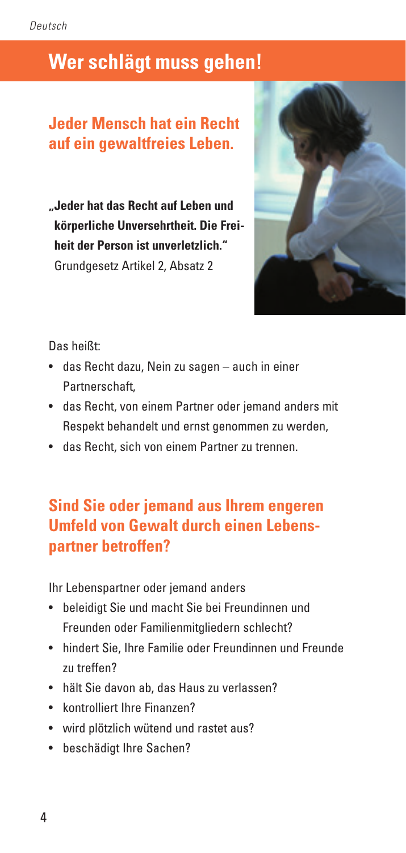# **Wer schlägt muss gehen!**

# **Jeder Mensch hat ein Recht auf ein gewaltfreies Leben.**

**"Jeder hat das Recht auf Leben und körperliche Unversehrtheit. Die Freiheit der Person ist unverletzlich."** Grundgesetz Artikel 2, Absatz 2



Das heißt:

- das Recht dazu, Nein zu sagen auch in einer Partnerschaft,
- das Recht, von einem Partner oder jemand anders mit Respekt behandelt und ernst genommen zu werden,
- das Recht, sich von einem Partner zu trennen.

# **Sind Sie oder jemand aus Ihrem engeren Umfeld von Gewalt durch einen Lebenspartner betroffen?**

Ihr Lebenspartner oder jemand anders

- beleidigt Sie und macht Sie bei Freundinnen und Freunden oder Familienmitgliedern schlecht?
- hindert Sie, Ihre Familie oder Freundinnen und Freunde zu treffen?
- hält Sie davon ab, das Haus zu verlassen?
- kontrolliert Ihre Finanzen?
- wird plötzlich wütend und rastet aus?
- beschädigt Ihre Sachen?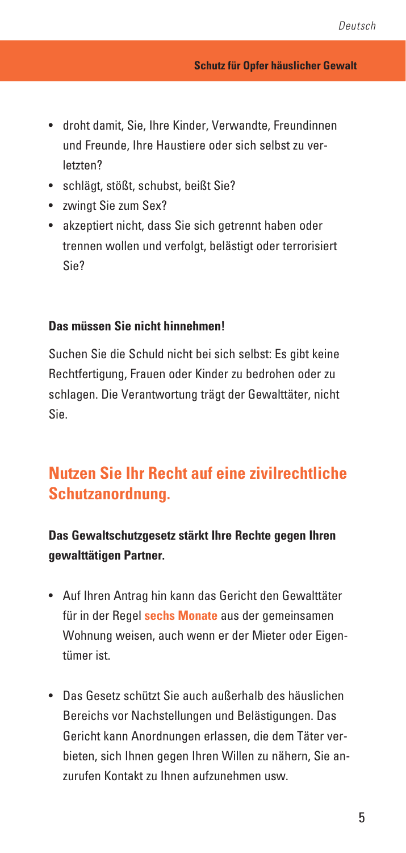- droht damit, Sie, Ihre Kinder, Verwandte, Freundinnen und Freunde, Ihre Haustiere oder sich selbst zu verletzten?
- schlägt, stößt, schubst, beißt Sie?
- zwingt Sie zum Sex?
- akzeptiert nicht, dass Sie sich getrennt haben oder trennen wollen und verfolgt, belästigt oder terrorisiert Sie?

### **Das müssen Sie nicht hinnehmen!**

Suchen Sie die Schuld nicht bei sich selbst: Es gibt keine Rechtfertigung, Frauen oder Kinder zu bedrohen oder zu schlagen. Die Verantwortung trägt der Gewalttäter, nicht Sie.

# **Nutzen Sie Ihr Recht auf eine zivilrechtliche Schutzanordnung.**

## **Das Gewaltschutzgesetz stärkt Ihre Rechte gegen Ihren gewalttätigen Partner.**

- Auf Ihren Antrag hin kann das Gericht den Gewalttäter für in der Regel **sechs Monate** aus der gemeinsamen Wohnung weisen, auch wenn er der Mieter oder Eigentümer ist.
- Das Gesetz schützt Sie auch außerhalb des häuslichen Bereichs vor Nachstellungen und Belästigungen. Das Gericht kann Anordnungen erlassen, die dem Täter verbieten, sich Ihnen gegen Ihren Willen zu nähern, Sie anzurufen Kontakt zu Ihnen aufzunehmen usw.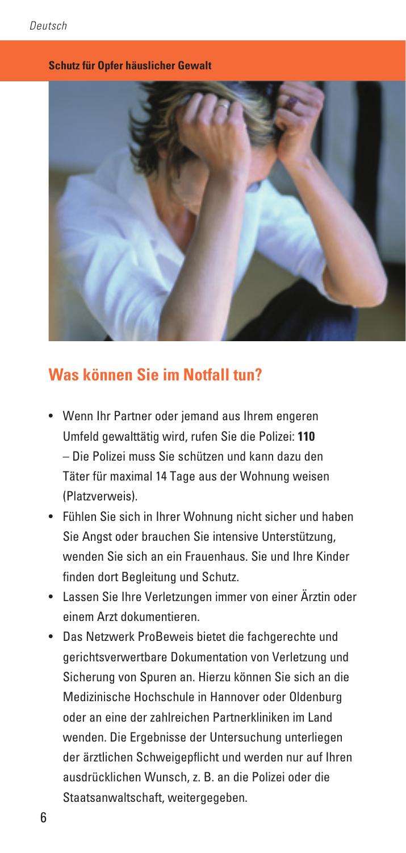#### **Schutz für Opfer häuslicher Gewalt**



## **Was können Sie im Notfall tun?**

- Wenn Ihr Partner oder jemand aus Ihrem engeren Umfeld gewalttätig wird, rufen Sie die Polizei: **110** – Die Polizei muss Sie schützen und kann dazu den Täter für maximal 14 Tage aus der Wohnung weisen (Platzverweis).
- Fühlen Sie sich in Ihrer Wohnung nicht sicher und haben Sie Angst oder brauchen Sie intensive Unterstützung, wenden Sie sich an ein Frauenhaus. Sie und Ihre Kinder finden dort Begleitung und Schutz.
- Lassen Sie Ihre Verletzungen immer von einer Ärztin oder einem Arzt dokumentieren.
- Das Netzwerk ProBeweis bietet die fachgerechte und gerichtsverwertbare Dokumentation von Verletzung und Sicherung von Spuren an. Hierzu können Sie sich an die Medizinische Hochschule in Hannover oder Oldenburg oder an eine der zahlreichen Partnerkliniken im Land wenden. Die Ergebnisse der Untersuchung unterliegen der ärztlichen Schweigepflicht und werden nur auf Ihren ausdrücklichen Wunsch, z. B. an die Polizei oder die Staatsanwaltschaft, weitergegeben.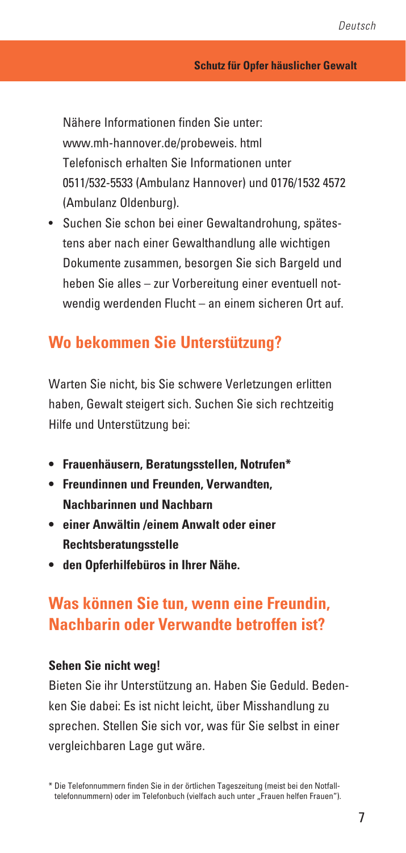Nähere Informationen finden Sie unter: www.mh-hannover.de/probeweis. html Telefonisch erhalten Sie Informationen unter 0511/532-5533 (Ambulanz Hannover) und 0176/1532 4572 (Ambulanz Oldenburg).

• Suchen Sie schon bei einer Gewaltandrohung, spätestens aber nach einer Gewalthandlung alle wichtigen Dokumente zusammen, besorgen Sie sich Bargeld und heben Sie alles – zur Vorbereitung einer eventuell notwendig werdenden Flucht – an einem sicheren Ort auf.

## **Wo bekommen Sie Unterstützung?**

Warten Sie nicht, bis Sie schwere Verletzungen erlitten haben, Gewalt steigert sich. Suchen Sie sich rechtzeitig Hilfe und Unterstützung bei:

- **Frauenhäusern, Beratungsstellen, Notrufen\***
- **Freundinnen und Freunden, Verwandten, Nachbarinnen und Nachbarn**
- **einer Anwältin /einem Anwalt oder einer Rechtsberatungsstelle**
- **den Opferhilfebüros in Ihrer Nähe.**

# **Was können Sie tun, wenn eine Freundin, Nachbarin oder Verwandte betroffen ist?**

### **Sehen Sie nicht weg!**

Bieten Sie ihr Unterstützung an. Haben Sie Geduld. Bedenken Sie dabei: Es ist nicht leicht, über Misshandlung zu sprechen. Stellen Sie sich vor, was für Sie selbst in einer vergleichbaren Lage gut wäre.

<sup>\*</sup> Die Telefonnummern finden Sie in der örtlichen Tageszeitung (meist bei den Notfalltelefonnummern) oder im Telefonbuch (vielfach auch unter "Frauen helfen Frauen").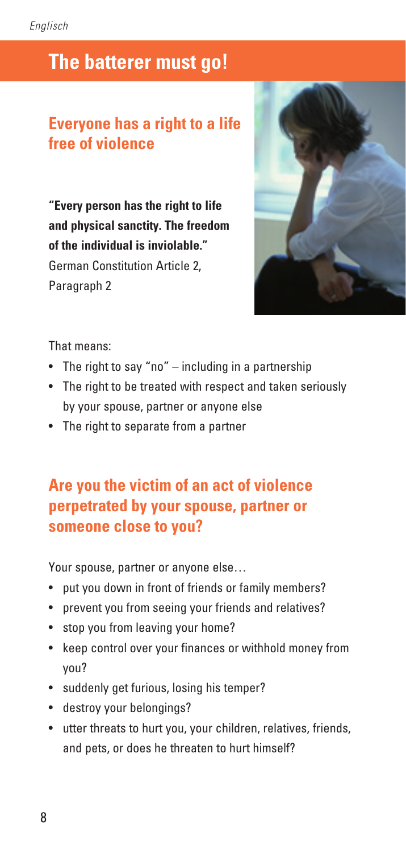# **The batterer must go!**

# **Everyone has a right to a life free of violence**

**"Every person has the right to life and physical sanctity. The freedom of the individual is inviolable."** German Constitution Article 2, Paragraph 2



That means:

- The right to say "no" including in a partnership
- The right to be treated with respect and taken seriously by your spouse, partner or anyone else
- The right to separate from a partner

# **Are you the victim of an act of violence perpetrated by your spouse, partner or someone close to you?**

Your spouse, partner or anyone else…

- put you down in front of friends or family members?
- prevent you from seeing your friends and relatives?
- stop you from leaving your home?
- keep control over your finances or withhold money from you?
- suddenly get furious, losing his temper?
- destroy your belongings?
- utter threats to hurt you, your children, relatives, friends, and pets, or does he threaten to hurt himself?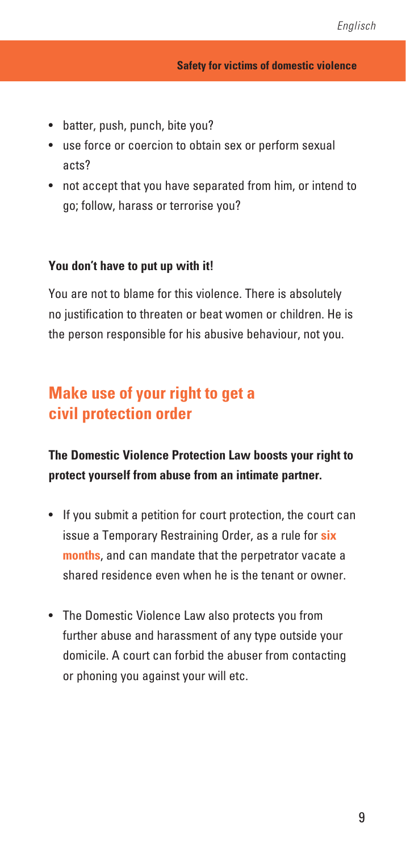- batter, push, punch, bite you?
- use force or coercion to obtain sex or perform sexual acts?
- not accept that you have separated from him, or intend to go; follow, harass or terrorise you?

### **You don't have to put up with it!**

You are not to blame for this violence. There is absolutely no justification to threaten or beat women or children. He is the person responsible for his abusive behaviour, not you.

## **Make use of your right to get a civil protection order**

### **The Domestic Violence Protection Law boosts your right to protect yourself from abuse from an intimate partner.**

- If you submit a petition for court protection, the court can issue a Temporary Restraining Order, as a rule for **six months**, and can mandate that the perpetrator vacate a shared residence even when he is the tenant or owner.
- The Domestic Violence Law also protects you from further abuse and harassment of any type outside your domicile. A court can forbid the abuser from contacting or phoning you against your will etc.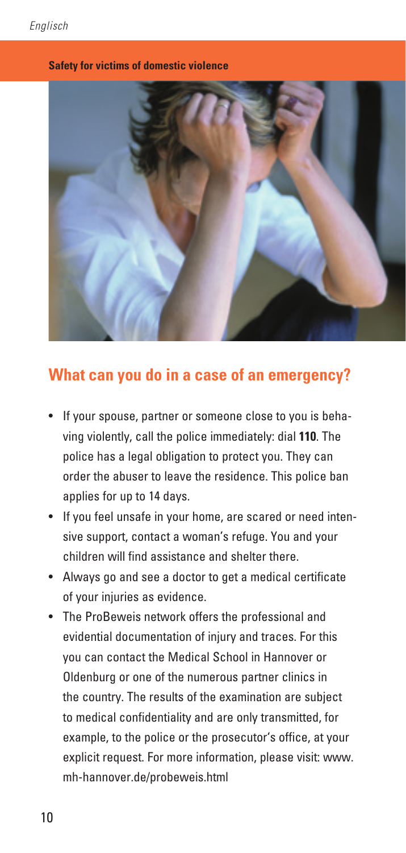#### **Safety for victims of domestic violence**



## **What can you do in a case of an emergency?**

- If your spouse, partner or someone close to you is behaving violently, call the police immediately: dial **110**. The police has a legal obligation to protect you. They can order the abuser to leave the residence. This police ban applies for up to 14 days.
- If you feel unsafe in your home, are scared or need intensive support, contact a woman's refuge. You and your children will find assistance and shelter there.
- Always go and see a doctor to get a medical certificate of your injuries as evidence.
- The ProBeweis network offers the professional and evidential documentation of injury and traces. For this you can contact the Medical School in Hannover or Oldenburg or one of the numerous partner clinics in the country. The results of the examination are subject to medical confidentiality and are only transmitted, for example, to the police or the prosecutor's office, at your explicit request. For more information, please visit: www. mh-hannover.de/probeweis.html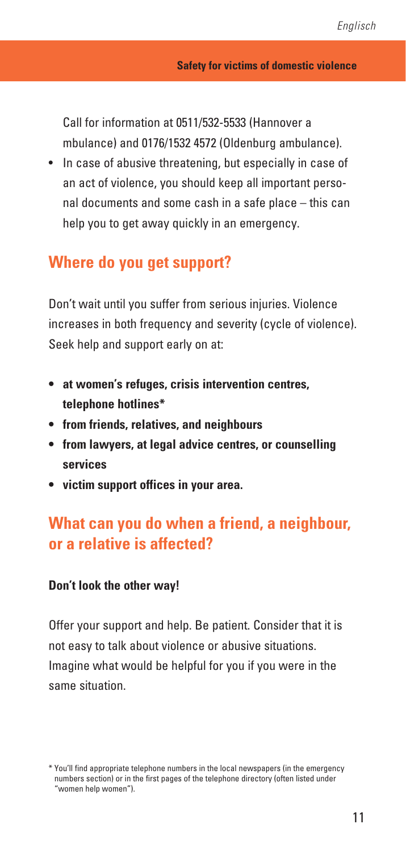Call for information at 0511/532-5533 (Hannover a mbulance) and 0176/1532 4572 (Oldenburg ambulance).

• In case of abusive threatening, but especially in case of an act of violence, you should keep all important personal documents and some cash in a safe place – this can help you to get away quickly in an emergency.

## **Where do you get support?**

Don't wait until you suffer from serious injuries. Violence increases in both frequency and severity (cycle of violence). Seek help and support early on at:

- **at women's refuges, crisis intervention centres, telephone hotlines\***
- **from friends, relatives, and neighbours**
- **from lawyers, at legal advice centres, or counselling services**
- **victim support offices in your area.**

## **What can you do when a friend, a neighbour, or a relative is affected?**

#### **Don't look the other way!**

Offer your support and help. Be patient. Consider that it is not easy to talk about violence or abusive situations. Imagine what would be helpful for you if you were in the same situation.

<sup>\*</sup> You'll find appropriate telephone numbers in the local newspapers (in the emergency numbers section) or in the first pages of the telephone directory (often listed under "women help women").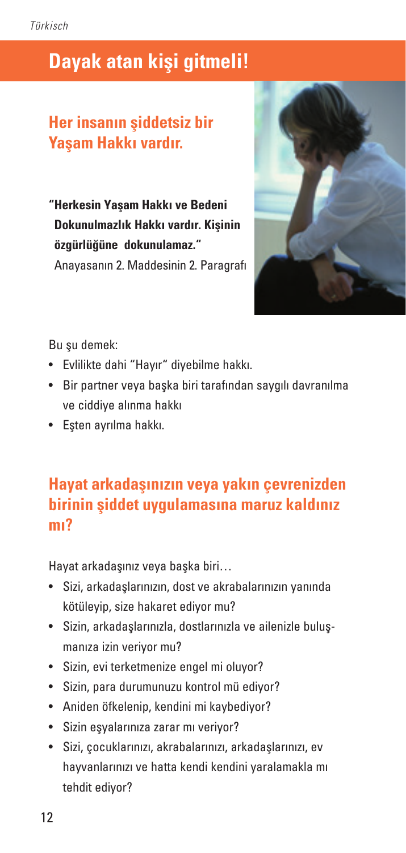# **Dayak atan kişi gitmeli!**

# **Her insanın şiddetsiz bir Yaşam Hakkı vardır.**

**"Herkesin Yaşam Hakkı ve Bedeni Dokunulmazlık Hakkı vardır. Kişinin özgürlüğüne dokunulamaz."** Anayasanın 2. Maddesinin 2. Paragrafı



Bu su demek:

- Evlilikte dahi "Hayır" diyebilme hakkı.
- Bir partner veya başka biri tarafından saygılı davranılma ve ciddiye alınma hakkı
- Eşten ayrılma hakkı.

# **Hayat arkadaşınızın veya yakın çevrenizden birinin şiddet uygulamasına maruz kaldınız mı?**

Hayat arkadaşınız veya başka biri…

- Sizi, arkadaşlarınızın, dost ve akrabalarınızın yanında kötüleyip, size hakaret ediyor mu?
- Sizin, arkadaşlarınızla, dostlarınızla ve ailenizle buluşmanıza izin veriyor mu?
- Sizin, evi terketmenize engel mi oluyor?
- Sizin, para durumunuzu kontrol mü ediyor?
- Aniden öfkelenip, kendini mi kaybediyor?
- Sizin eşyalarınıza zarar mı veriyor?
- Sizi, çocuklarınızı, akrabalarınızı, arkadaşlarınızı, ev hayvanlarınızı ve hatta kendi kendini yaralamakla mı tehdit ediyor?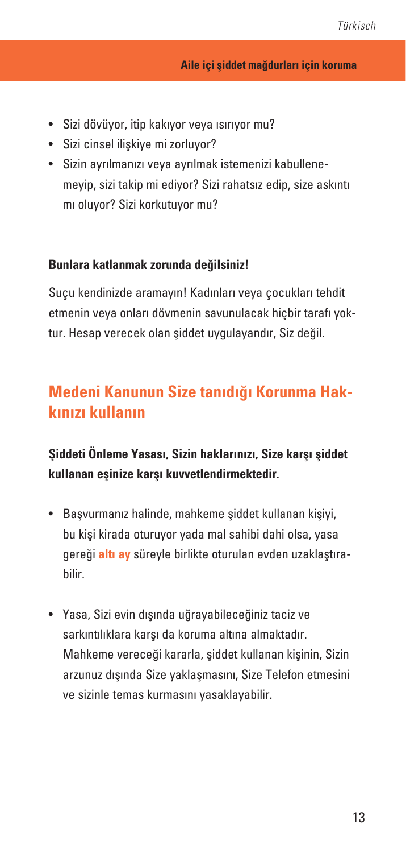- Sizi dövüyor, itip kakıyor veya ısırıyor mu?
- Sizi cinsel ilişkiye mi zorluyor?
- Sizin ayrılmanızı veya ayrılmak istemenizi kabullenemeyip, sizi takip mi ediyor? Sizi rahatsız edip, size askıntı mı oluyor? Sizi korkutuyor mu?

### **Bunlara katlanmak zorunda değilsiniz!**

Suçu kendinizde aramayın! Kadınları veya çocukları tehdit etmenin veya onları dövmenin savunulacak hiçbir tarafı yoktur. Hesap verecek olan şiddet uygulayandır, Siz değil.

# **Medeni Kanunun Size tanıdığı Korunma Hakkınızı kullanın**

**Şiddeti Önleme Yasası, Sizin haklarınızı, Size karşı şiddet kullanan eşinize karşı kuvvetlendirmektedir.**

- Başvurmanız halinde, mahkeme şiddet kullanan kişiyi, bu kişi kirada oturuyor yada mal sahibi dahi olsa, yasa gereği **altı ay** süreyle birlikte oturulan evden uzaklaştırabilir.
- Yasa, Sizi evin dışında uğrayabileceğiniz taciz ve sarkıntılıklara karşı da koruma altına almaktadır. Mahkeme vereceği kararla, şiddet kullanan kişinin, Sizin arzunuz dışında Size yaklaşmasını, Size Telefon etmesini ve sizinle temas kurmasını yasaklayabilir.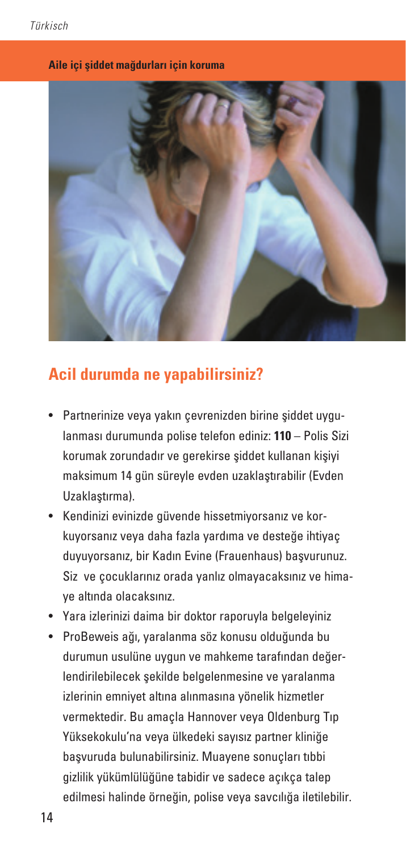#### **Aile içi şiddet mağdurları için koruma**



## **Acil durumda ne yapabilirsiniz?**

- Partnerinize veya yakın çevrenizden birine şiddet uygulanması durumunda polise telefon ediniz: **110** – Polis Sizi korumak zorundadır ve gerekirse şiddet kullanan kişiyi maksimum 14 gün süreyle evden uzaklaştırabilir (Evden Uzaklaştırma).
- Kendinizi evinizde güvende hissetmiyorsanız ve korkuyorsanız veya daha fazla yardıma ve desteğe ihtiyaç duyuyorsanız, bir Kadın Evine (Frauenhaus) başvurunuz. Siz ve çocuklarınız orada yanlız olmayacaksınız ve himaye altında olacaksınız.
- Yara izlerinizi daima bir doktor raporuyla belgeleyiniz
- ProBeweis ağı, yaralanma söz konusu olduğunda bu durumun usulüne uygun ve mahkeme tarafından değerlendirilebilecek şekilde belgelenmesine ve yaralanma izlerinin emniyet altına alınmasına yönelik hizmetler vermektedir. Bu amaçla Hannover veya Oldenburg Tıp Yüksekokulu'na veya ülkedeki sayısız partner kliniğe başvuruda bulunabilirsiniz. Muayene sonuçları tıbbi gizlilik yükümlülüğüne tabidir ve sadece açıkça talep edilmesi halinde örneğin, polise veya savcılığa iletilebilir.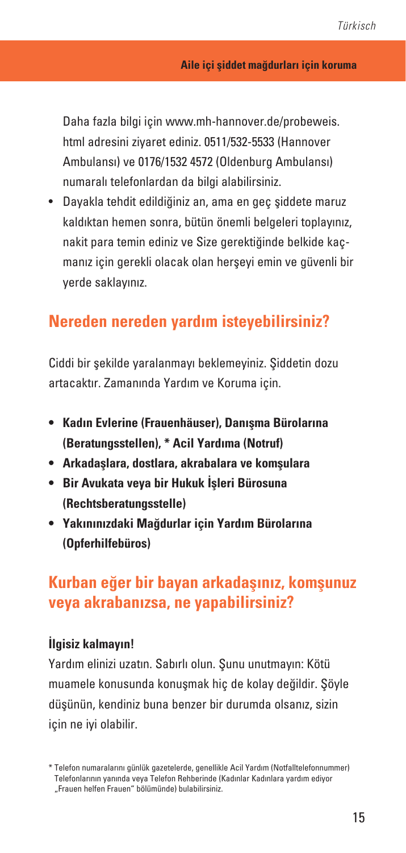Daha fazla bilgi için www.mh-hannover.de/probeweis. html adresini ziyaret ediniz. 0511/532-5533 (Hannover Ambulansı) ve 0176/1532 4572 (Oldenburg Ambulansı) numaralı telefonlardan da bilgi alabilirsiniz.

• Dayakla tehdit edildiğiniz an, ama en geç şiddete maruz kaldıktan hemen sonra, bütün önemli belgeleri toplayınız, nakit para temin ediniz ve Size gerektiğinde belkide kaçmanız için gerekli olacak olan herşeyi emin ve güvenli bir yerde saklayınız.

## **Nereden nereden yardım isteyebilirsiniz?**

Ciddi bir şekilde yaralanmayı beklemeyiniz. Şiddetin dozu artacaktır. Zamanında Yardım ve Koruma için.

- **• Kadın Evlerine (Frauenhäuser), Danışma Bürolarına (Beratungsstellen), \* Acil Yardıma (Notruf)**
- **• Arkadaşlara, dostlara, akrabalara ve komşulara**
- **• Bir Avukata veya bir Hukuk İşleri Bürosuna (Rechtsberatungsstelle)**
- **• Yakınınızdaki Mağdurlar için Yardım Bürolarına (Opferhilfebüros)**

## **Kurban eğer bir bayan arkadaşınız, komşunuz veya akrabanızsa, ne yapabilirsiniz?**

### **İlgisiz kalmayın!**

Yardım elinizi uzatın. Sabırlı olun. Şunu unutmayın: Kötü muamele konusunda konuşmak hiç de kolay değildir. Şöyle düşünün, kendiniz buna benzer bir durumda olsanız, sizin için ne iyi olabilir.

<sup>\*</sup> Telefon numaralarını günlük gazetelerde, genellikle Acil Yardım (Notfalltelefonnummer) Telefonlarının yanında veya Telefon Rehberinde (Kadınlar Kadınlara yardım ediyor "Frauen helfen Frauen" bölümünde) bulabilirsiniz.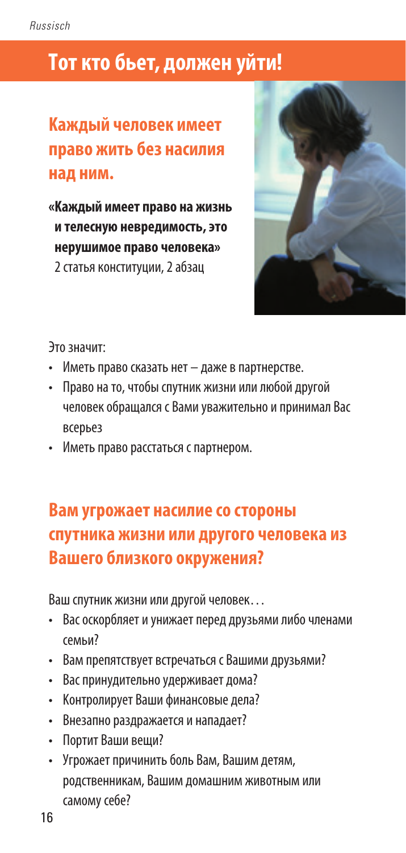# **Tот кто бьет, должен уйти!**

# **Kаждый человек имеет право жить без насилия над ним.**

**«Kаждый имеет право на жизнь и телесную невредимость, это нерушимое право человека»**  2 статья конституции, 2 абзац



Это значит:

- Иметь право сказать нет даже в партнерстве.
- Право на то, чтобы спутник жизни или любой другой человек обращался с Вами уважительно и принимал Вас всерьез
- Иметь право расстаться с партнером.

# **Вам угрожает насилие со стороны спутника жизни или другого человека из Вашего близкого окружения?**

Ваш спутник жизни или другой человек…

- Вас оскорбляет и унижает перед друзьями либо членами семьи?
- Bам препятствует встречаться с Bашими друзьями?
- Bас принудительно удерживает дома?
- Kонтролирует Bаши финансовые дела?
- Bнезапно раздражается и нападает?
- Портит Bаши вещи?
- Угрожает причинить боль Bам, Bашим детям, родственникам, Bашим домашним животным или самому себе?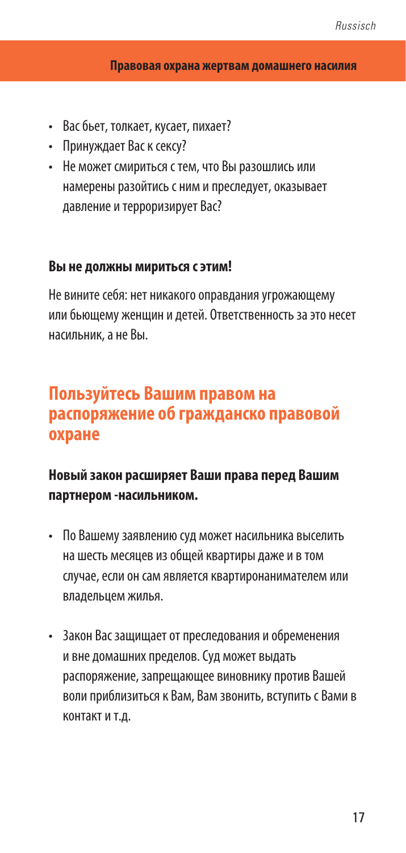#### **Правовая охрана жертвам домашнего насилия**

- Bас бьет, толкает, кусает, пихает?
- Принуждает Bас к сексу?
- Hе может смириться с тем, что Bы разошлись или намерены разойтись с ним и преследует, оказывает давление и терроризирует Bас?

### **Bы не должны мириться с этим!**

Hе вините себя: нет никакого оправдания угрожающему или бьющему женщин и детей. Ответственность за это несет насильник, а не Bы.

# **Пользуйтесь Bашим правом на распоряжение об гражданcко правовой охране**

## **Hовый закон расширяет Bаши права перед Bашим партнером -насильником.**

- По Bашему заявлению суд может насильника выселить на шесть месяцев из общей квартиры даже и в том случае, если он сам является квартиронанимателем или владельцем жилья.
- 3акон Bас защищает от преследования и обременения и вне домашних пределов. Cуд может выдать распоряжение, запрещающее виновнику против Bашей воли приблизиться к Bам, Bам звонить, вступить с Bами в контакт и т.д.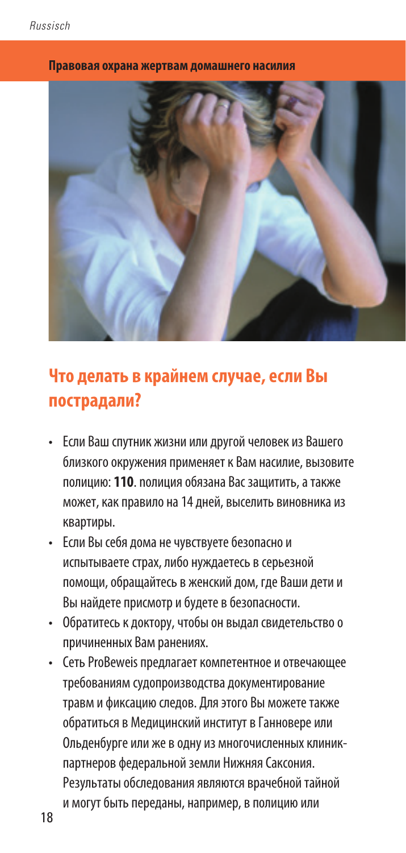

#### **Правовая охрана жертвам домашнего насилия**

# **Что делать в крайнем случае, если Bы пострадали?**

- Если Ваш спутник жизни или другой человек из Вашего близкого окружения применяет к Вам насилие, вызовите полицию: **110**. nолиция обязана Bас защитить, а также может, как правило на 14 дней, выселить виновника из квартиры.
- Eсли Bы себя дома не чувствуете безопасно и испытываете страх, либо нуждаетесь в серьезной помощи, обращайтесь в женский дом, где Bаши дети и Bы найдете присмотр и будете в безопасности.
- Обратитесь к доктору, чтобы он выдал свидетельство о причиненных Bам ранениях.
- Сеть ProBeweis предлагает компетентное и отвечающее требованиям судопроизводства документирование травм и фиксацию следов. Для этого Вы можете также обратиться в Медицинский институт в Ганновере или Ольденбурге или же в одну из многочисленных клиникпартнеров федеральной земли Нижняя Саксония. Результаты обследования являются врачебной тайной и могут быть переданы, например, в полицию или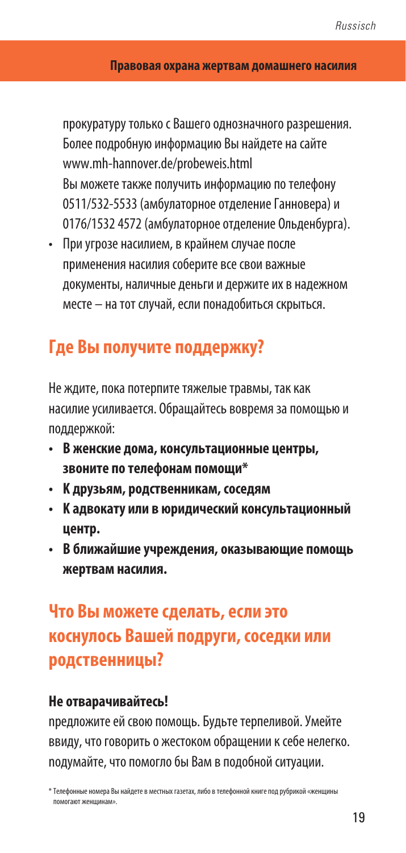прокуратуру только с Вашего однозначного разрешения. Более подробную информацию Вы найдете на сайте www.mh-hannover.de/probeweis.html Вы можете также получить информацию по телефону 0511/532-5533 (амбулаторное отделение Ганновера) и 0176/1532 4572 (амбулаторное отделение Ольденбурга).

• При угрозе насилием, в крайнем случае после применения насилия соберите все свои важные документы, наличные деньги и держите их в надежном месте – на тот случай, если понадобиться скрыться.

# **Γде Bы получите поддержку?**

Hе ждите, пока потерпите тяжелые травмы, так как насилие усиливается. Обращайтесь вовремя за помощью и поддержкой:

- **B женские дома, консультационные центры, звоните по телефонам помощи\***
- **K друзьям, родственникам, соседям**
- **K адвокату или в юридический консультационный центр.**
- **B ближайшие учреждения, оказывающие помощь жертвам насилия.**

# **Что Bы можете сделать, если это коснулось Bашей подруги, соседки или родственницы?**

### **Не отварачивайтесь!**

nредложите ей свою помощь. Будьте терпеливой. Умейте ввиду, что говорить о жестоком обращении к себе нелегко. nодумайте, что помогло бы Bам в подобной ситуации.

<sup>\*</sup> Tелефонные номера Bы найдете в местных газетах, либо в телефонной книге под рубрикой «женщины помогают женщинам».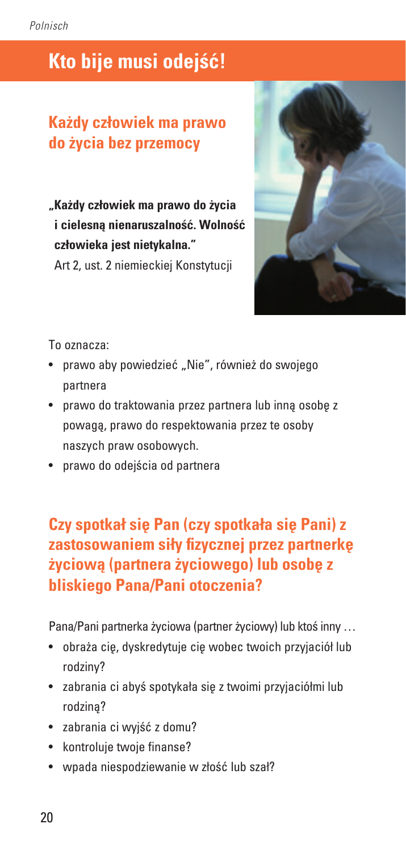# **Kto bije musi odejść!**

# **Każdy człowiek ma prawo do życia bez przemocy**

**"Każdy człowiek ma prawo do życia i cielesną nienaruszalność. Wolność człowieka jest nietykalna."**

Art 2, ust. 2 niemieckiej Konstytucji



To oznacza:

- prawo aby powiedzieć "Nie", również do swojego partnera
- prawo do traktowania przez partnera lub inną osobę z powagą, prawo do respektowania przez te osoby naszych praw osobowych.
- prawo do odejścia od partnera

# **Czy spotkał się Pan (czy spotkała się Pani) z zastosowaniem siły fizycznej przez partnerkę życiową (partnera życiowego) lub osobę z bliskiego Pana/Pani otoczenia?**

Pana/Pani partnerka życiowa (partner życiowy) lub ktoś inny …

- obraża cię, dyskredytuje cię wobec twoich przyjaciół lub rodziny?
- zabrania ci abyś spotykała się z twoimi przyjaciółmi lub rodziną?
- zabrania ci wyjść z domu?
- kontroluje twoje finanse?
- wpada niespodziewanie w złość lub szał?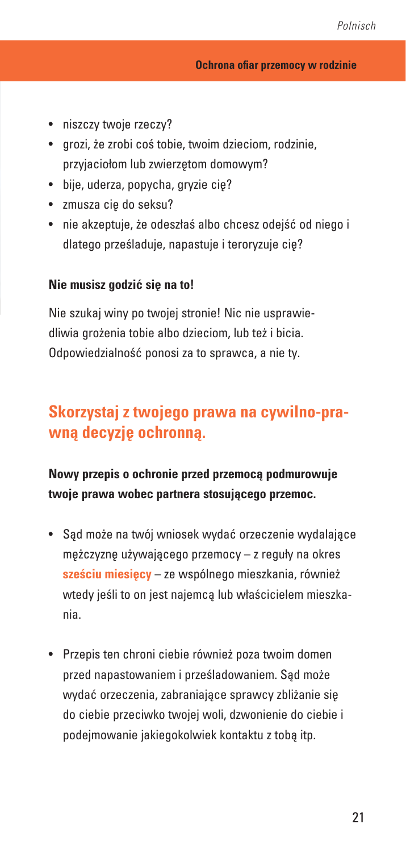- niszczy twoje rzeczy?
- grozi, że zrobi coś tobie, twoim dzieciom, rodzinie, przyjaciołom lub zwierzętom domowym?
- bije, uderza, popycha, gryzie cię?
- zmusza cię do seksu?
- nie akzeptuje, że odeszłaś albo chcesz odejść od niego i dlatego prześladuje, napastuje i teroryzuje cię?

### **Nie musisz godzić się na to!**

Nie szukaj winy po twojej stronie! Nic nie usprawiedliwia grożenia tobie albo dzieciom, lub też i bicia. Odpowiedzialność ponosi za to sprawca, a nie ty.

# **Skorzystaj z twojego prawa na cywilno-prawną decyzję ochronną.**

**Nowy przepis o ochronie przed przemocą podmurowuje twoje prawa wobec partnera stosującego przemoc.**

- Sąd może na twój wniosek wydać orzeczenie wydalające mężczyznę używającego przemocy – z reguły na okres **sześciu miesięcy** – ze wspólnego mieszkania, również wtedy jeśli to on jest najemcą lub właścicielem mieszkania.
- Przepis ten chroni ciebie również poza twoim domen przed napastowaniem i prześladowaniem. Sąd może wydać orzeczenia, zabraniające sprawcy zbliżanie się do ciebie przeciwko twojej woli, dzwonienie do ciebie i podejmowanie jakiegokolwiek kontaktu z tobą itp.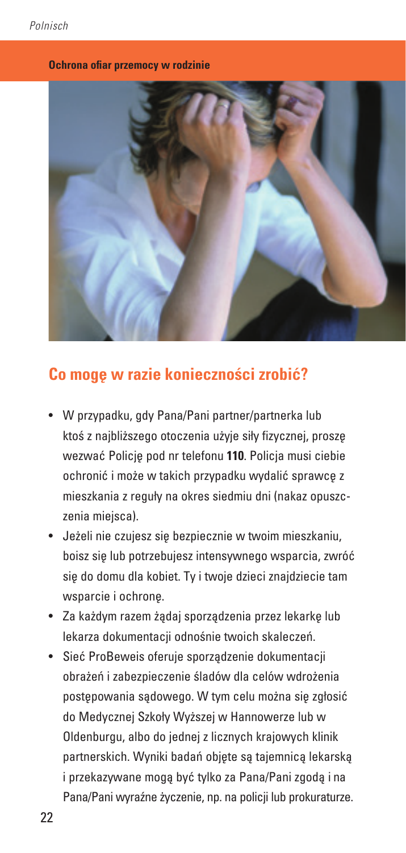#### **Ochrona ofiar przemocy w rodzinie**



## **Co mogę w razie konieczności zrobić?**

- W przypadku, gdy Pana/Pani partner/partnerka lub ktoś z najbliższego otoczenia użyje siły fizycznej, proszę wezwać Policję pod nr telefonu **110**. Policja musi ciebie ochronić i może w takich przypadku wydalić sprawcę z mieszkania z reguły na okres siedmiu dni (nakaz opuszczenia miejsca).
- Jeżeli nie czujesz się bezpiecznie w twoim mieszkaniu, boisz się lub potrzebujesz intensywnego wsparcia, zwróć się do domu dla kobiet. Ty i twoje dzieci znajdziecie tam wsparcie i ochronę.
- Za każdym razem żądaj sporządzenia przez lekarkę lub lekarza dokumentacji odnośnie twoich skaleczeń.
- Sieć ProBeweis oferuje sporządzenie dokumentacji obrażeń i zabezpieczenie śladów dla celów wdrożenia postępowania sądowego. W tym celu można się zgłosić do Medycznej Szkoły Wyższej w Hannowerze lub w Oldenburgu, albo do jednej z licznych krajowych klinik partnerskich. Wyniki badań objęte są tajemnicą lekarską i przekazywane mogą być tylko za Pana/Pani zgodą i na Pana/Pani wyraźne życzenie, np. na policji lub prokuraturze.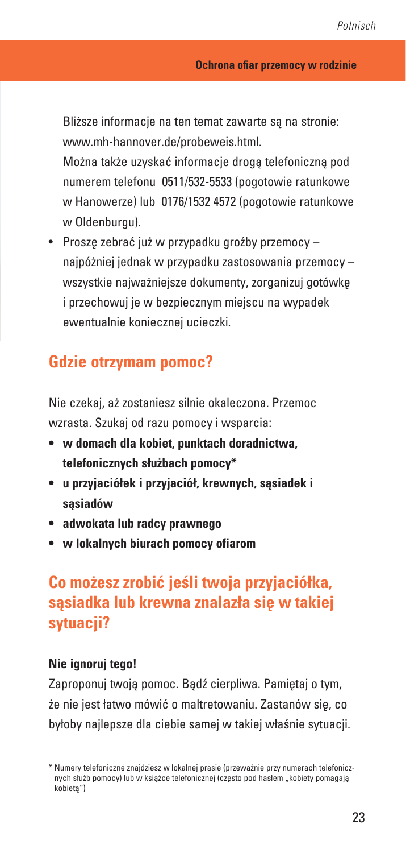Bliższe informacje na ten temat zawarte są na stronie: www.mh-hannover.de/probeweis.html.

Można także uzyskać informacje drogą telefoniczną pod numerem telefonu 0511/532-5533 (pogotowie ratunkowe w Hanowerze) lub 0176/1532 4572 (pogotowie ratunkowe w Oldenburgu).

• Proszę zebrać już w przypadku groźby przemocy – najpóżniej jednak w przypadku zastosowania przemocy – wszystkie najważniejsze dokumenty, zorganizuj gotówkę i przechowuj je w bezpiecznym miejscu na wypadek ewentualnie koniecznej ucieczki.

## **Gdzie otrzymam pomoc?**

Nie czekaj, aż zostaniesz silnie okaleczona. Przemoc wzrasta. Szukaj od razu pomocy i wsparcia:

- **• w domach dla kobiet, punktach doradnictwa, telefonicznych służbach pomocy\***
- **• u przyjaciółek i przyjaciół, krewnych, sąsiadek i sąsiadów**
- **• adwokata lub radcy prawnego**
- **• w lokalnych biurach pomocy ofiarom**

# **Co możesz zrobić jeśli twoja przyjaciółka, sąsiadka lub krewna znalazła się w takiej sytuacji?**

### **Nie ignoruj tego!**

Zaproponuj twoją pomoc. Bądź cierpliwa. Pamiętaj o tym, że nie jest łatwo mówić o maltretowaniu. Zastanów się, co byłoby najlepsze dla ciebie samej w takiej właśnie sytuacji.

<sup>\*</sup> Numery telefoniczne znajdziesz w lokalnej prasie (przeważnie przy numerach telefonicznych służb pomocy) lub w książce telefonicznej (często pod hasłem "kobiety pomagają kobietą")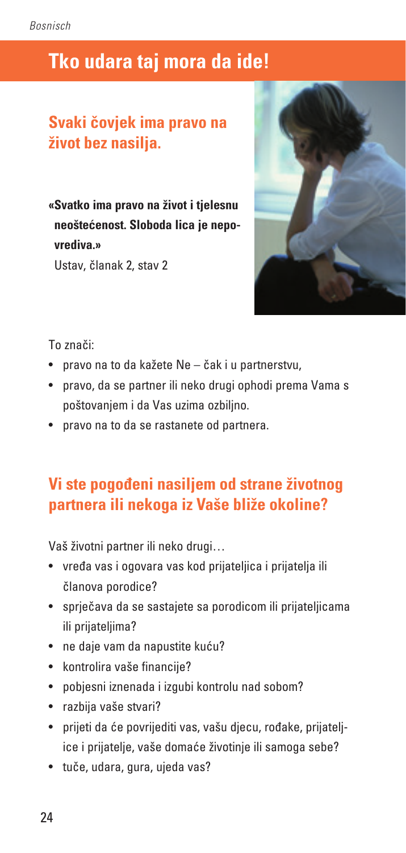# **Tko udara taj mora da ide!**

## **Svaki čovjek ima pravo na život bez nasilja.**

**«Svatko ima pravo na život i tjelesnu neoštećenost. Sloboda lica je nepovrediva.»** Ustav, članak 2, stav 2



### To znači:

- pravo na to da kažete Ne čak i u partnerstvu,
- pravo, da se partner ili neko drugi ophodi prema Vama s poštovanjem i da Vas uzima ozbiljno.
- pravo na to da se rastanete od partnera.

## **Vi ste pogođeni nasiljem od strane životnog partnera ili nekoga iz Vaše bliže okoline?**

Vaš životni partner ili neko drugi…

- vređa vas i ogovara vas kod prijateljica i prijatelja ili članova porodice?
- sprječava da se sastajete sa porodicom ili prijateljicama ili prijateljima?
- ne daje vam da napustite kuću?
- kontrolira vaše financije?
- pobjesni iznenada i izgubi kontrolu nad sobom?
- razbija vaše stvari?
- prijeti da će povrijediti vas, vašu djecu, rođake, prijateljice i prijatelje, vaše domaće životinje ili samoga sebe?
- tuče, udara, gura, ujeda vas?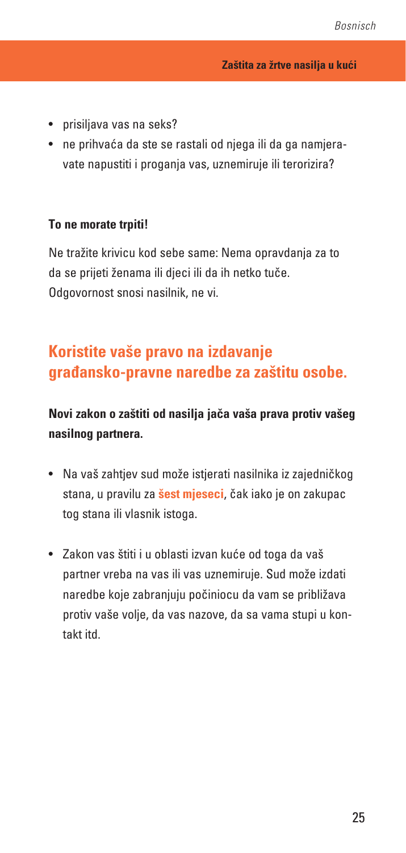- prisiljava vas na seks?
- ne prihvaća da ste se rastali od njega ili da ga namjeravate napustiti i proganja vas, uznemiruje ili terorizira?

#### **To ne morate trpiti!**

Ne tražite krivicu kod sebe same: Nema opravdanja za to da se prijeti ženama ili djeci ili da ih netko tuče. Odgovornost snosi nasilnik, ne vi.

# **Koristite vaše pravo na izdavanje građansko-pravne naredbe za zaštitu osobe.**

## **Novi zakon o zaštiti od nasilja jača vaša prava protiv vašeg nasilnog partnera.**

- Na vaš zahtjev sud može istjerati nasilnika iz zajedničkog stana, u pravilu za **šest mjeseci**, čak iako je on zakupac tog stana ili vlasnik istoga.
- Zakon vas štiti i u oblasti izvan kuće od toga da vaš partner vreba na vas ili vas uznemiruje. Sud može izdati naredbe koje zabranjuju počiniocu da vam se približava protiv vaše volje, da vas nazove, da sa vama stupi u kontakt itd.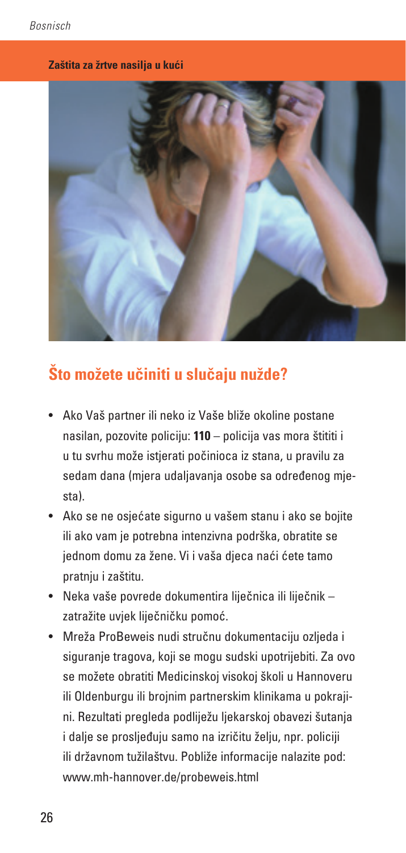### **Zaštita za žrtve nasilja u kući**



# **Što možete učiniti u slučaju nužde?**

- Ako Vaš partner ili neko iz Vaše bliže okoline postane nasilan, pozovite policiju: **110** – policija vas mora štititi i u tu svrhu može istjerati počinioca iz stana, u pravilu za sedam dana (mjera udaljavanja osobe sa određenog mjesta).
- Ako se ne osjećate sigurno u vašem stanu i ako se bojite ili ako vam je potrebna intenzivna podrška, obratite se jednom domu za žene. Vi i vaša djeca naći ćete tamo pratnju i zaštitu.
- Neka vaše povrede dokumentira liječnica ili liječnik zatražite uvjek liječničku pomoć.
- Mreža ProBeweis nudi stručnu dokumentaciju ozljeda i siguranje tragova, koji se mogu sudski upotrijebiti. Za ovo se možete obratiti Medicinskoj visokoj školi u Hannoveru ili Oldenburgu ili brojnim partnerskim klinikama u pokrajini. Rezultati pregleda podliježu ljekarskoj obavezi šutanja i dalje se prosljeđuju samo na izričitu želju, npr. policiji ili državnom tužilaštvu. Pobliže informacije nalazite pod: www.mh-hannover.de/probeweis.html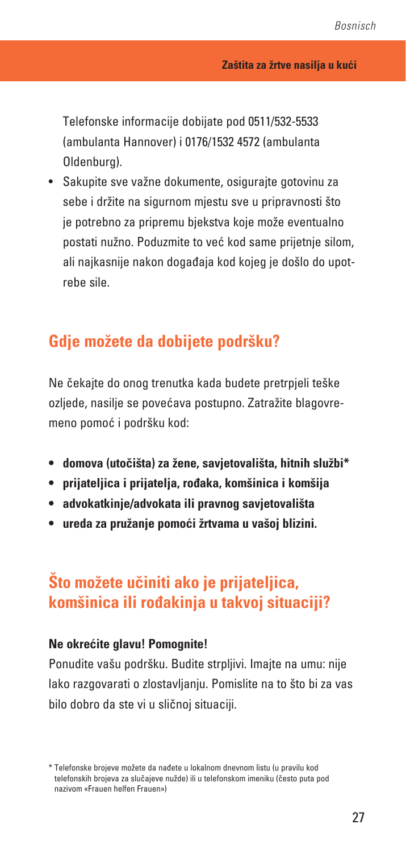Telefonske informacije dobijate pod 0511/532-5533 (ambulanta Hannover) i 0176/1532 4572 (ambulanta Oldenburg).

• Sakupite sve važne dokumente, osigurajte gotovinu za sebe i držite na sigurnom mjestu sve u pripravnosti što je potrebno za pripremu bjekstva koje može eventualno postati nužno. Poduzmite to već kod same prijetnje silom, ali najkasnije nakon događaja kod kojeg je došlo do upotrebe sile.

## **Gdje možete da dobijete podršku?**

Ne čekajte do onog trenutka kada budete pretrpjeli teške ozljede, nasilje se povećava postupno. Zatražite blagovremeno pomoć i podršku kod:

- **• domova (utočišta) za žene, savjetovališta, hitnih službi\***
- **• prijateljica i prijatelja, rođaka, komšinica i komšija**
- **• advokatkinje/advokata ili pravnog savjetovališta**
- **• ureda za pružanje pomoći žrtvama u vašoj blizini.**

# **Što možete učiniti ako je prijateljica, komšinica ili rođakinja u takvoj situaciji?**

### **Ne okrećite glavu! Pomognite!**

Ponudite vašu podršku. Budite strpljivi. Imajte na umu: nije lako razgovarati o zlostavljanju. Pomislite na to što bi za vas bilo dobro da ste vi u sličnoj situaciji.

<sup>\*</sup> Telefonske brojeve možete da nađete u lokalnom dnevnom listu (u pravilu kod telefonskih brojeva za slučajeve nužde) ili u telefonskom imeniku (često puta pod nazivom «Frauen helfen Frauen»)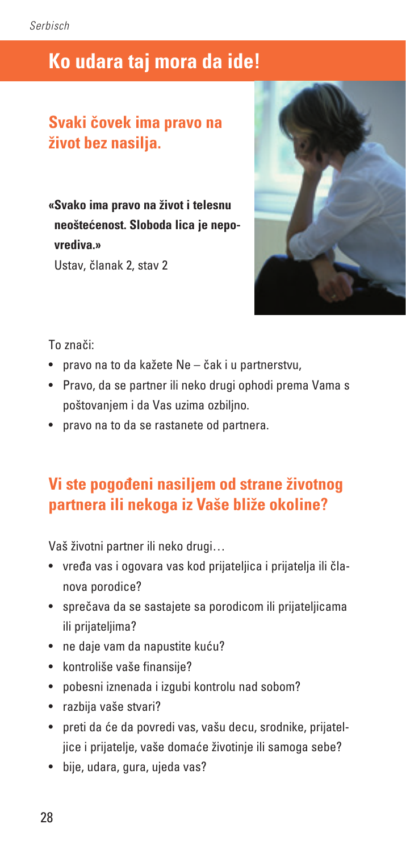# **Ko udara taj mora da ide!**

## **Svaki čovek ima pravo na život bez nasilja.**

**«Svako ima pravo na život i telesnu neoštećenost. Sloboda lica je nepovrediva.»** Ustav, članak 2, stav 2



### To znači:

- pravo na to da kažete Ne čak i u partnerstvu,
- Pravo, da se partner ili neko drugi ophodi prema Vama s poštovanjem i da Vas uzima ozbiljno.
- pravo na to da se rastanete od partnera.

## **Vi ste pogođeni nasiljem od strane životnog partnera ili nekoga iz Vaše bliže okoline?**

Vaš životni partner ili neko drugi…

- vređa vas i ogovara vas kod prijateljica i prijatelja ili članova porodice?
- sprečava da se sastajete sa porodicom ili prijateljicama ili prijateljima?
- ne daje vam da napustite kuću?
- kontroliše vaše finansije?
- pobesni iznenada i izgubi kontrolu nad sobom?
- razbija vaše stvari?
- preti da će da povredi vas, vašu decu, srodnike, prijateljice i prijatelje, vaše domaće životinje ili samoga sebe?
- bije, udara, gura, ujeda vas?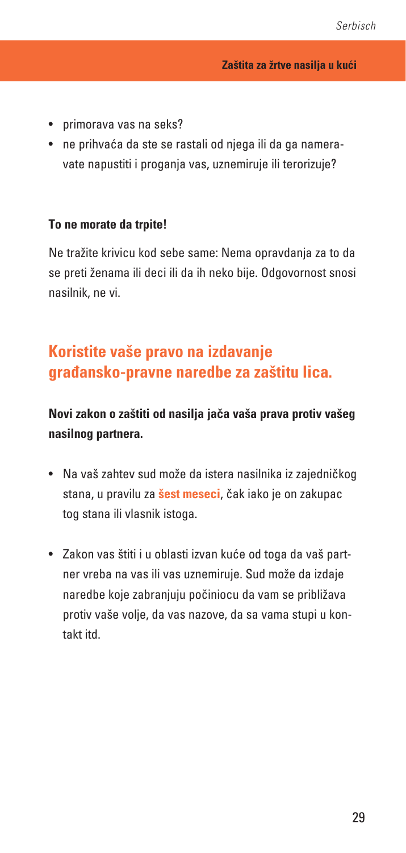- primorava vas na seks?
- ne prihvaća da ste se rastali od njega ili da ga nameravate napustiti i proganja vas, uznemiruje ili terorizuje?

#### **To ne morate da trpite!**

Ne tražite krivicu kod sebe same: Nema opravdanja za to da se preti ženama ili deci ili da ih neko bije. Odgovornost snosi nasilnik, ne vi.

# **Koristite vaše pravo na izdavanje građansko-pravne naredbe za zaštitu lica.**

### **Novi zakon o zaštiti od nasilja jača vaša prava protiv vašeg nasilnog partnera.**

- Na vaš zahtev sud može da istera nasilnika iz zajedničkog stana, u pravilu za **šest meseci**, čak iako je on zakupac tog stana ili vlasnik istoga.
- Zakon vas štiti i u oblasti izvan kuće od toga da vaš partner vreba na vas ili vas uznemiruje. Sud može da izdaje naredbe koje zabranjuju počiniocu da vam se približava protiv vaše volje, da vas nazove, da sa vama stupi u kontakt itd.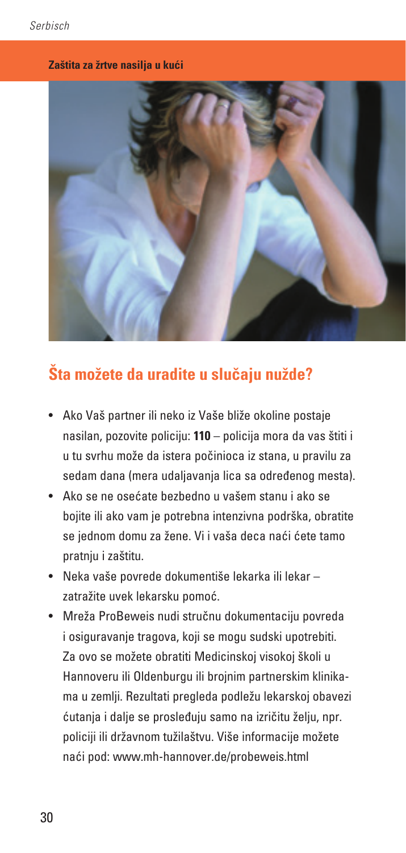### **Zaštita za žrtve nasilja u kući**



# **Šta možete da uradite u slučaju nužde?**

- Ako Vaš partner ili neko iz Vaše bliže okoline postaje nasilan, pozovite policiju: **110** – policija mora da vas štiti i u tu svrhu može da istera počinioca iz stana, u pravilu za sedam dana (mera udaljavanja lica sa određenog mesta).
- Ako se ne osećate bezbedno u vašem stanu i ako se bojite ili ako vam je potrebna intenzivna podrška, obratite se jednom domu za žene. Vi i vaša deca naći ćete tamo pratnju i zaštitu.
- Neka vaše povrede dokumentiše lekarka ili lekar zatražite uvek lekarsku pomoć.
- Mreža ProBeweis nudi stručnu dokumentaciju povreda i osiguravanje tragova, koji se mogu sudski upotrebiti. Za ovo se možete obratiti Medicinskoj visokoj školi u Hannoveru ili Oldenburgu ili brojnim partnerskim klinikama u zemlji. Rezultati pregleda podležu lekarskoj obavezi ćutanja i dalje se prosleđuju samo na izričitu želju, npr. policiji ili državnom tužilaštvu. Više informacije možete naći pod: www.mh-hannover.de/probeweis.html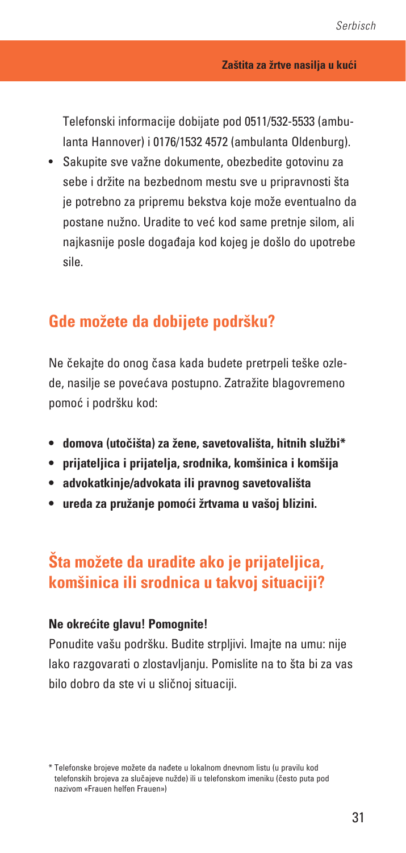Telefonski informacije dobijate pod 0511/532-5533 (ambulanta Hannover) i 0176/1532 4572 (ambulanta Oldenburg).

• Sakupite sve važne dokumente, obezbedite gotovinu za sebe i držite na bezbednom mestu sve u pripravnosti šta je potrebno za pripremu bekstva koje može eventualno da postane nužno. Uradite to već kod same pretnje silom, ali najkasnije posle događaja kod kojeg je došlo do upotrebe sile.

## **Gde možete da dobijete podršku?**

Ne čekajte do onog časa kada budete pretrpeli teške ozlede, nasilje se povećava postupno. Zatražite blagovremeno pomoć i podršku kod:

- **• domova (utočišta) za žene, savetovališta, hitnih službi\***
- **• prijateljica i prijatelja, srodnika, komšinica i komšija**
- **• advokatkinje/advokata ili pravnog savetovališta**
- **• ureda za pružanje pomoći žrtvama u vašoj blizini.**

# **Šta možete da uradite ako je prijateljica, komšinica ili srodnica u takvoj situaciji?**

### **Ne okrećite glavu! Pomognite!**

Ponudite vašu podršku. Budite strpljivi. Imajte na umu: nije lako razgovarati o zlostavljanju. Pomislite na to šta bi za vas bilo dobro da ste vi u sličnoj situaciji.

<sup>\*</sup> Telefonske brojeve možete da nađete u lokalnom dnevnom listu (u pravilu kod telefonskih brojeva za slučajeve nužde) ili u telefonskom imeniku (često puta pod nazivom «Frauen helfen Frauen»)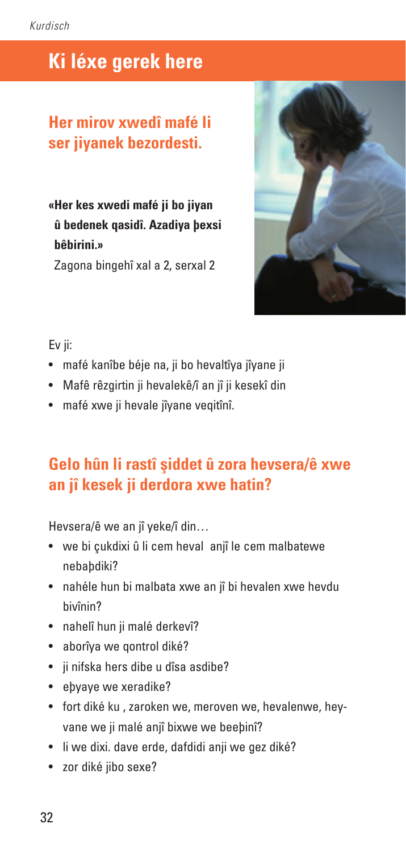# **Ki léxe gerek here**

## **Her mirov xwedî mafé li ser jiyanek bezordesti.**

**«Her kes xwedi mafé ji bo jiyan û bedenek qasidî. Azadiya þexsi bêbirini.»**

Zagona bingehî xal a 2, serxal 2



### Ev ji:

- mafé kanîbe béje na, ji bo hevaltîya jîyane ji
- Mafê rêzgirtin ji hevalekê/î an jî ji kesekî din
- mafé xwe ji hevale jîvane veqitînî.

# **Gelo hûn li rastî şiddet û zora hevsera/ê xwe an jî kesek ji derdora xwe hatin?**

Hevsera/ê we an jî yeke/î din…

- we bi çukdixi û li cem heval anjî le cem malbatewe nebaþdiki?
- nahéle hun bi malbata xwe an jî bi hevalen xwe hevdu bivînin?
- nahelî hun ji malé derkevî?
- aborîya we qontrol diké?
- ji nifska hers dibe u dîsa asdibe?
- eþyaye we xeradike?
- fort diké ku , zaroken we, meroven we, hevalenwe, heyvane we ji malé anjî bixwe we beeþinî?
- li we dixi, dave erde, dafdidi anii we gez diké?
- zor diké jibo sexe?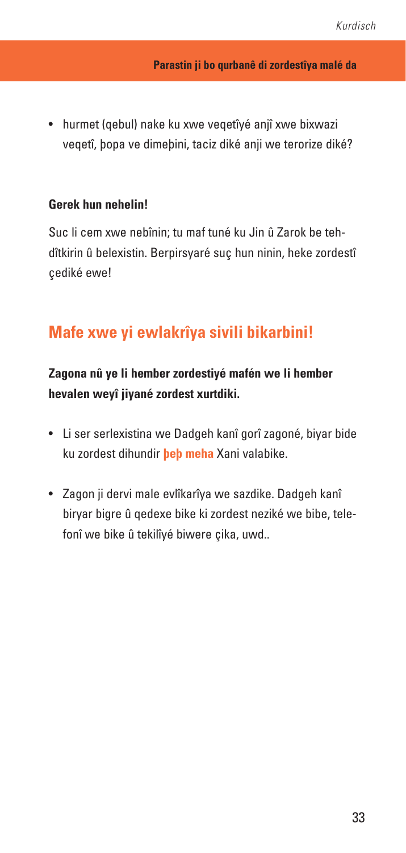• hurmet (qebul) nake ku xwe veqetîyé anjî xwe bixwazi veqetî, þopa ve dimeþini, taciz diké anji we terorize diké?

### **Gerek hun nehelin!**

Suc li cem xwe nebînin; tu maf tuné ku Jin û Zarok be tehdîtkirin û belexistin. Berpirsyaré suç hun ninin, heke zordestî çediké ewe!

## **Mafe xwe yi ewlakrîya sivili bikarbini!**

### **Zagona nû ye li hember zordestiyé mafén we li hember hevalen weyî jiyané zordest xurtdiki.**

- Li ser serlexistina we Dadgeh kanî gorî zagoné, biyar bide ku zordest dihundir **þeþ meha** Xani valabike.
- Zagon ji dervi male evlîkarîya we sazdike. Dadgeh kanî biryar bigre û qedexe bike ki zordest neziké we bibe, telefonî we bike û tekilîyé biwere çika, uwd..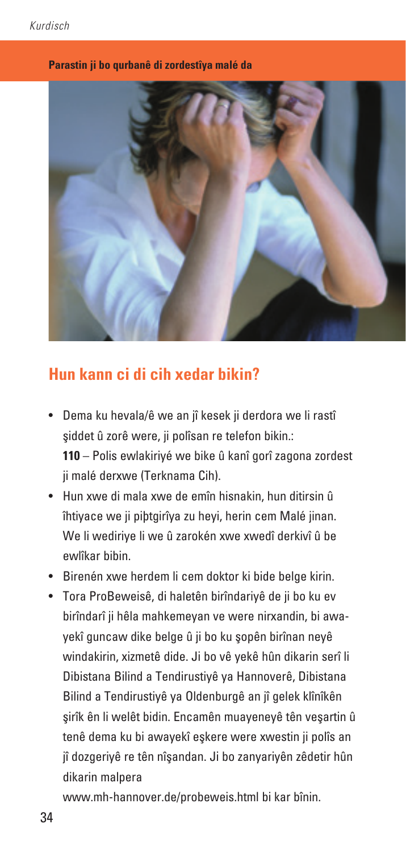#### **Parastin ji bo qurbanê di zordestîya malé da**



## **Hun kann ci di cih xedar bikin?**

- Dema ku hevala/ê we an jî kesek ji derdora we li rastî şiddet û zorê were, ji polîsan re telefon bikin.: **110** – Polis ewlakiriyé we bike û kanî gorî zagona zordest ji malé derxwe (Terknama Cih).
- Hun xwe di mala xwe de emîn hisnakin, hun ditirsin û îhtiyace we ji piþtgirîya zu heyi, herin cem Malé jinan. We li wediriye li we û zarokén xwe xwedî derkivî û be ewlîkar bibin.
- Birenén xwe herdem li cem doktor ki bide belge kirin.
- Tora ProBeweisê, di haletên birîndariyê de ji bo ku ev birîndarî ji hêla mahkemeyan ve were nirxandin, bi awayekî guncaw dike belge û ji bo ku şopên birînan neyê windakirin, xizmetê dide. Ji bo vê yekê hûn dikarin serî li Dibistana Bilind a Tendirustiyê ya Hannoverê, Dibistana Bilind a Tendirustiyê ya Oldenburgê an jî gelek klînîkên şirîk ên li welêt bidin. Encamên muayeneyê tên veşartin û tenê dema ku bi awayekî eşkere were xwestin ji polîs an jî dozgeriyê re tên nîşandan. Ji bo zanyariyên zêdetir hûn dikarin malpera

www.mh-hannover.de/probeweis.html bi kar bînin.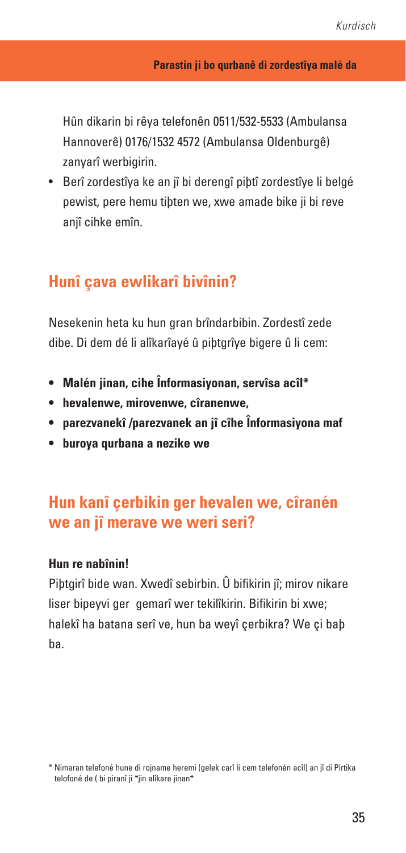Hûn dikarin bi rêya telefonên 0511/532-5533 (Ambulansa Hannoverê) 0176/1532 4572 (Ambulansa Oldenburgê) zanyarî werbigirin.

• Berî zordestîya ke an jî bi derengî piþtî zordestîye li belgé pewist, pere hemu tiþten we, xwe amade bike ji bi reve aniî cihke emîn.

## **Hunî çava ewlikarî bivînin?**

Nesekenin heta ku hun gran brîndarbibin. Zordestî zede dibe. Di dem dé li alîkarîayé û piþtgrîye bigere û li cem:

- **• Malén jinan, cihe Înformasiyonan, servîsa acîl\***
- **• hevalenwe, mirovenwe, cîranenwe,**
- **• parezvanekî /parezvanek an jî cîhe Înformasiyona maf**
- **• buroya qurbana a nezike we**

# **Hun kanî çerbikin ger hevalen we, cîranén we an jî merave we weri seri?**

### **Hun re nabînin!**

Piþtgirî bide wan. Xwedî sebirbin. Û bifikirin jî; mirov nikare liser bipeyvi ger gemarî wer tekilîkirin. Bifikirin bi xwe; halekî ha batana serî ve, hun ba weyî çerbikra? We çi baþ ba.

<sup>\*</sup> Nimaran telefoné hune di rojname heremi (gelek carî li cem telefonén acîl) an jî di Pirtika telofoné de ( bi piranî ji \*jin alîkare jinan\*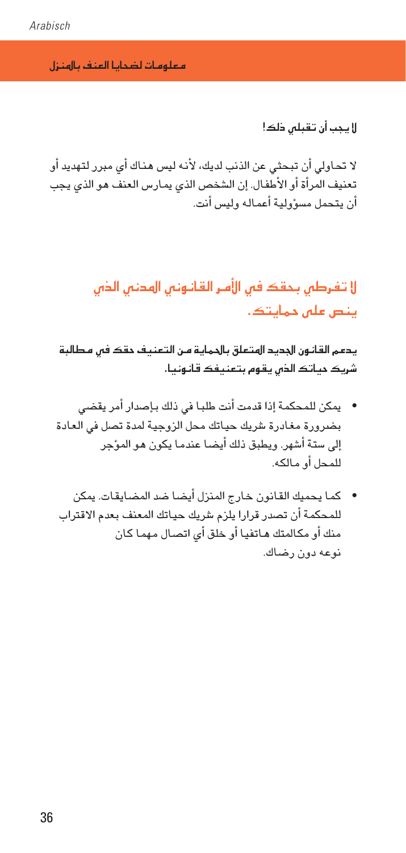معلومات لضحائا العنف بالهنزل

لا يجب أن تقبلس ذلك!

لا تحاولي أن تبحثي عن الذنب لديك، لأنه ليس هناك أي مبرر لتهديد أو تعنيف المرأة أو الأطفال. إن الشخص الذي يمارس العنف هو الذي يجب أن يتحمل مسؤولية أعماله وليس أنت.

# لا تفرطس بحقك فس الأهر القانونس الهدنس الذس ینص علی حمایتک.

يدمم القانون الجديد الهتعلق بالحماية من التعنيف حقك فس مطالبة شریک حیاتک الدٰں بقوم بتعنیفک قانونیا۔

- يمكن للمحكمة إذا قدمت أنت طلبـا في ذلك بـإصدار أمر يقضى بضرورة مغادرة شريك حياتك محل الزوجية لمدة تصل فى العادة إلى ستة أشهر. ويطبق ذلك أيضـا عندمـا يكون هـو الموَّجر للمحل أو مالكه.
- كما يحميك القانون خارج المنزل أيضا ضد المضايقات. يمكن للمحكمة أن تصدر قرارا يلزم شريك حياتك المعنف بعدم الاقتراب منك أو مكالمتك هـاتفيـا أو خلق أي اتصـال مـهمـا كـان نوعه دون رضاك.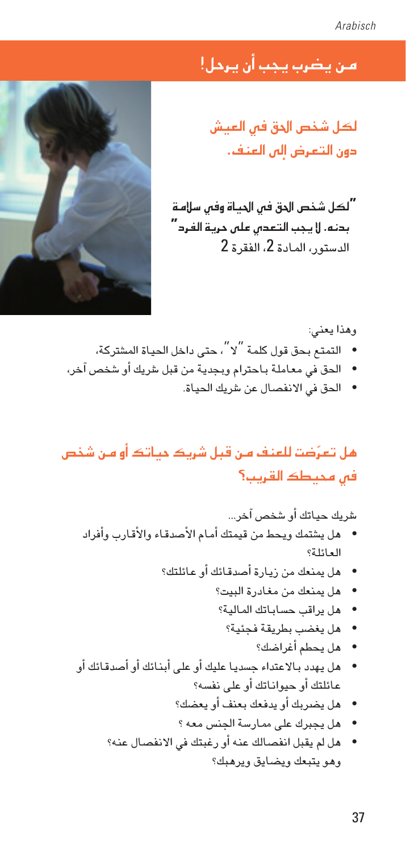# من يضرب يجب أن يرحل!

لكل شخص الحق في العيش دون التعرض البن العنف.

**"**لكل شخص الدق فى الحياة وفى سلامة بدنه. لا يجب التعد*ن علن حري*ة الفرد<mark>"</mark> الدستور، المادة 2، الفقرة 2



أو

وهذا يعنى: التمتـّع بـحق قول كلمـة  $``\chi''$ ، حتى داخل الحيـاة المشتركـة، • الحق في معاملة باحترام وبجدية من قبل شريك أو شخص آخر،

• الحق في الانفصال عن شريك الحياة.

مل تعرّضت للعنف مـن قبل شريك حياتك أو مـن شخص فس محيطك القريب؟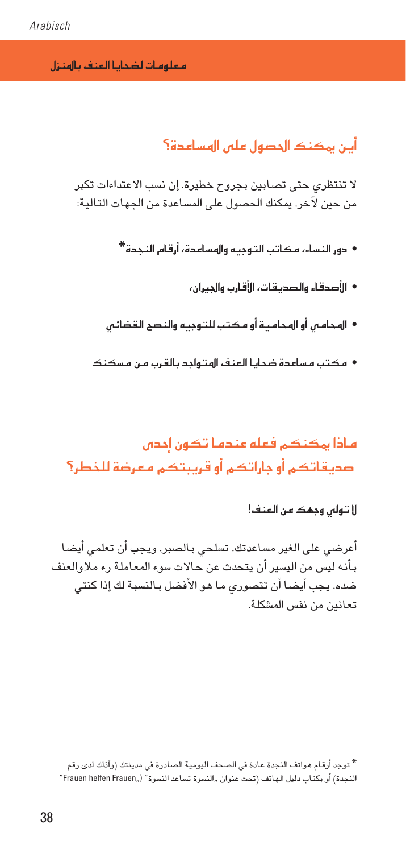هعلههات لضحائا العنف باأهنزل

## أين بمكنك الجصول على الهسامدة؟

لا تنتظري حتى تصابين بجروح خطيرة. إن نسب الاعتداءات تكبر من حين لآخر. يمكنك الحصول على المساعدة من الجهات التالية:

- ده، النساء، هكاتب التهميم والهسامدة، أرقام النحدة\*
	- الأصدقاء والصديقات، الأقارب والحيران،
- الهجامين أو الهجامية أو مكتب للتوجية والنصح القضائين
- مکتب مساعدة ضحايا العنف الهتواجد بالقرب من مسکنک

ماذا بهكنكم فعله مندما تكون أحدان صديقاتكم أوجاراتكم أوقريبتكم هعرضة للخطر؟

لا تولى وجمك عن العنف!

أعرضى على الغير مساعدتك. تسلحى بـالصبر. ويجب أن تعلمى أيضـا بأنه ليس من اليسير أن يتحدث عن حالات سوء المعاملة رء ملاوالعنف ضده. يجب أيضا أن تتصوري ما هو الأفضل بـالنسبـة لك إذا كنتي تعانين من نفس المشكلة.

\* توجد أرقام هواتف النجدة عادة فى الصحف اليومية الصادرة فى مدينتك (وآذلك لدى رقم النجدة) أو بكتاب دليل الهاتف (تحت عنوان "النسوة تساعد النسوة" ("Frauen helfen Frauen"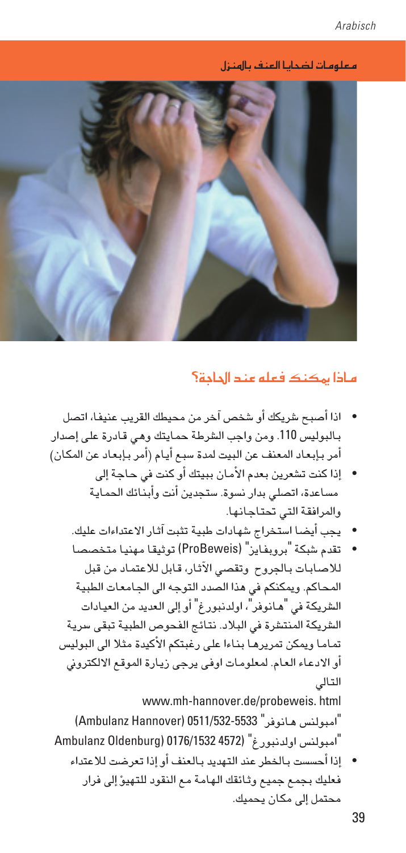معلومات ل�ضحايا العنف باملنزل



### ماذا بمكنك فعله عند الحاجة؟

- **•** اذا أ�صبح �رشيكك أو �شخ�ص آخر من حميطك القريب عنيفا، ات�صل بالبوليس 110. ومن واجب الشرطة حمايتك وهي قادرة على إصدار أمر بـإبعاد المعنف عن البيت لمدة سبع أيام (أمر بـإبعاد عن المكان)
	- **•** إذا كنت ت�شعرين بعدم الأمان ببيتك أو كنت يف حاجة إىل مساعدة، اتصلى بدار نسوة. ستجدين أنت وأبذائك الحماية واملرافقة التي حتتاجانها.
	- **•** يجب أي�ضا ا�ستخراج �شهادات طبية تثبت آثار االعتداءات عليك.
	- **•** تقدم �شبكة "بروبفايز" )ProBeweis )توثيقا مهنيا متخ�ص�صا لال�صابات باجلروح وتق�صي الآثار، قابل لالعتماد من قبل المحاكم. ويمكنكم في هذا الصدد التوجه الى الجامعات الطبية الشريكة في "هـانوفر"، اولدنبورغ" أو إلى العديد من العيـادات الشريكة المنتشرة في البلاد. نتائج الفحوص الطبية تبقى سرية تماما ويمكن تمريرها بناءا على رغبتكم الأكيدة مثلا الى البوليس أو الادعاء العام. لمعلومات اوفى يرجى زيارة الموقع الالكتروني التايل www.mh-hannover.de/probeweis. html "امبولن�س هانوفر" 0511/532-5533 )Hannover Ambulanz)

"امبولن�س اولدنبورغ" )4572 0176/1532 (Oldenburg Ambulanz

**•** إذا أح�س�ست باخلطر عند التهديد بالعنف أو إذا تعر�ضت لالعتداء فعليك بجمع جميع وثائقك الهامة مع النقود للتهي�ؤ إىل فرار محتمل إلى مكان يحميك.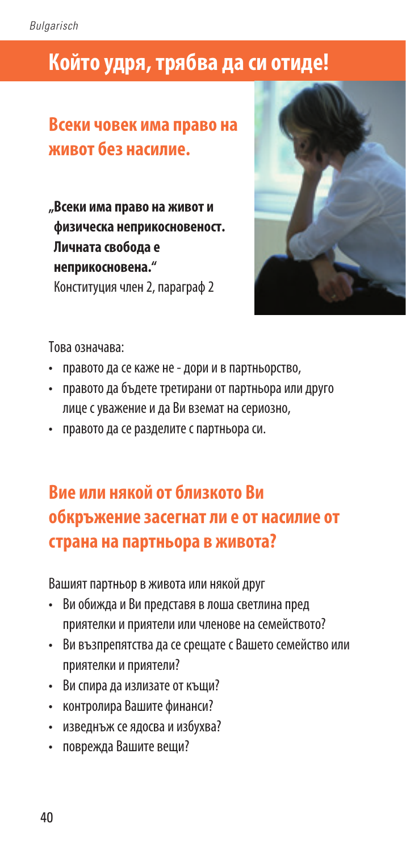# **Който удря, трябва да си отиде!**

# **Всеки човек има право на живот без насилие.**

**"Всеки има право на живот и физическа неприкосновеност. Личната свобода е неприкосновена."** Конституция член 2, параграф 2



Това означава:

- правото да се каже не дори и в партньорство,
- правото да бъдете третирани от партньора или друго лице с уважение и да Ви вземат на сериозно,
- правото да се разделите с партньора си.

# **Вие или някой от близкото Ви обкръжение засегнат ли е от насилие от страна на партньора в живота?**

Вашият партньор в живота или някой друг

- Ви обижда и Ви представя в лоша светлина пред приятелки и приятели или членове на семейството?
- Ви възпрепятства да се срещате с Вашето семейство или приятелки и приятели?
- Ви спира да излизате от къщи?
- контролира Вашите финанси?
- изведнъж се ядосва и избухва?
- поврежда Вашите вещи?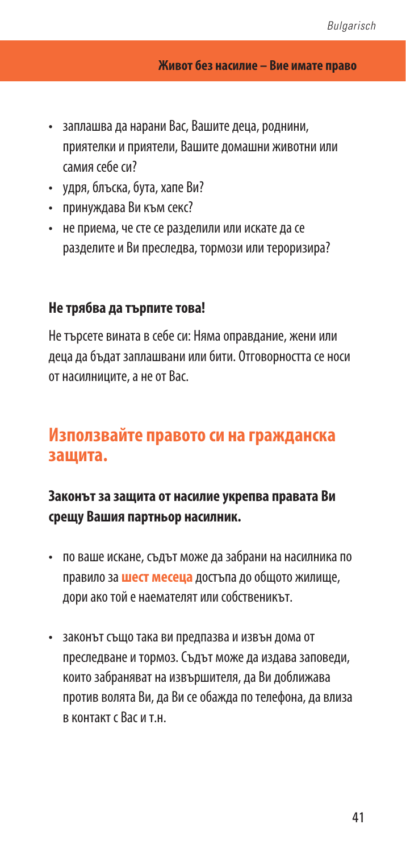- заплашва да нарани Вас, Вашите деца, роднини, приятелки и приятели, Вашите домашни животни или самия себе си?
- удря, блъска, бута, хапе Ви?
- принуждава Ви към секс?
- не приема, че сте се разделили или искате да се разделите и Ви преследва, тормози или тероризира?

### **Не трябва да търпите това!**

Не търсете вината в себе си: Няма оправдание, жени или деца да бъдат заплашвани или бити. Отговорността се носи от насилниците, а не от Вас.

## **Използвайте правото си на гражданска защита.**

## **Законът за защита от насилие укрепва правата Ви срещу Вашия партньор насилник.**

- по ваше искане, съдът може да забрани на насилника по правило за **шест месеца** достъпа до общото жилище, дори ако той е наемателят или собственикът.
- законът също така ви предпазва и извън дома от преследване и тормоз. Съдът може да издава заповеди, които забраняват на извършителя, да Ви доближава против волята Ви, да Ви се обажда по телефона, да влиза в контакт с Вас и т.н.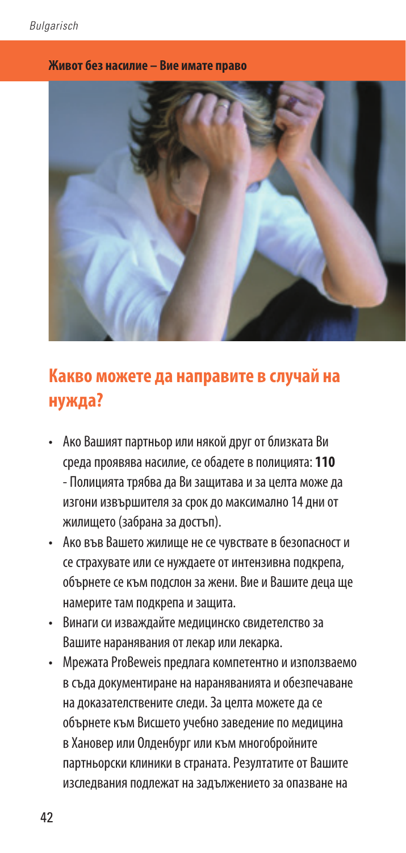### **Живот без насилие – Вие имате право**



# **Какво можете да направите в случай на нужда?**

- Ако Вашият партньор или някой друг от близката Ви среда проявява насилие, се обадете в полицията: **110** - Полицията трябва да Ви защитава и за целта може да изгони извършителя за срок до максимално 14 дни от жилището (забрана за достъп).
- Ако във Вашето жилище не се чувствате в безопасност и се страхувате или се нуждаете от интензивна подкрепа, обърнете се към подслон за жени. Вие и Вашите деца ще намерите там подкрепа и защита.
- Винаги си изваждайте медицинско свидетелство за Вашите наранявания от лекар или лекарка.
- Мрежата ProBeweis предлага компетентно и използваемо в съда документиране на нараняванията и обезпечаване на доказателствените следи. За целта можете да се обърнете към Висшето учебно заведение по медицина в Хановер или Олденбург или към многобройните партньорски клиники в страната. Резултатите от Вашите изследвания подлежат на задължението за опазване на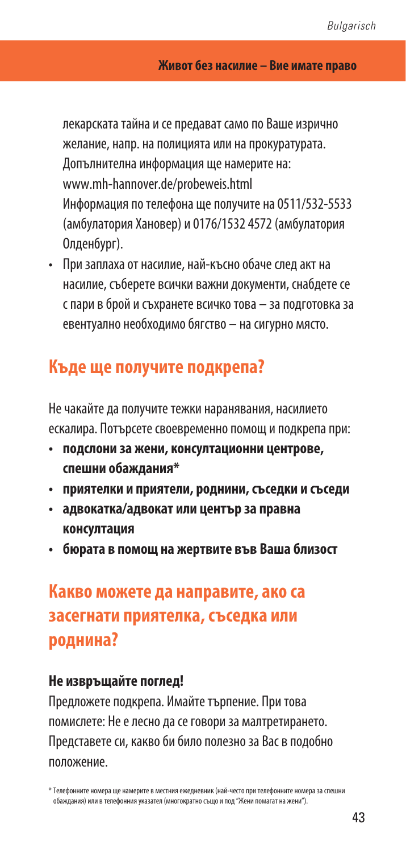лекарската тайна и се предават само по Ваше изрично желание, напр. на полицията или на прокуратурата. Допълнителна информация ще намерите на: www.mh-hannover.de/probeweis.html Информация по телефона ще получите на 0511/532-5533 (амбулатория Хановер) и 0176/1532 4572 (амбулатория Олденбург).

• При заплаха от насилие, най-късно обаче след акт на насилие, съберете всички важни документи, снабдете се с пари в брой и съхранете всичко това – за подготовка за евентуално необходимо бягство – на сигурно място.

# **Къде ще получите подкрепа?**

Не чакайте да получите тежки наранявания, насилието ескалира. Потърсете своевременно помощ и подкрепа при:

- **подслони за жени, консултационни центрове, спешни обаждания\***
- **приятелки и приятели, роднини, съседки и съседи**
- **адвокатка/адвокат или център за правна консултация**
- **бюрата в помощ на жертвите във Ваша близост**

# **Какво можете да направите, ако са засегнати приятелка, съседка или роднина?**

### **Не извръщайте поглед!**

Предложете подкрепа. Имайте търпение. При това помислете: Не е лесно да се говори за малтретирането. Представете си, какво би било полезно за Вас в подобно положение.

<sup>\*</sup> Телефонните номера ще намерите в местния ежедневник (най-често при телефонните номера за спешни обаждания) или в телефонния указател (многократно също и под "Жени помагат на жени").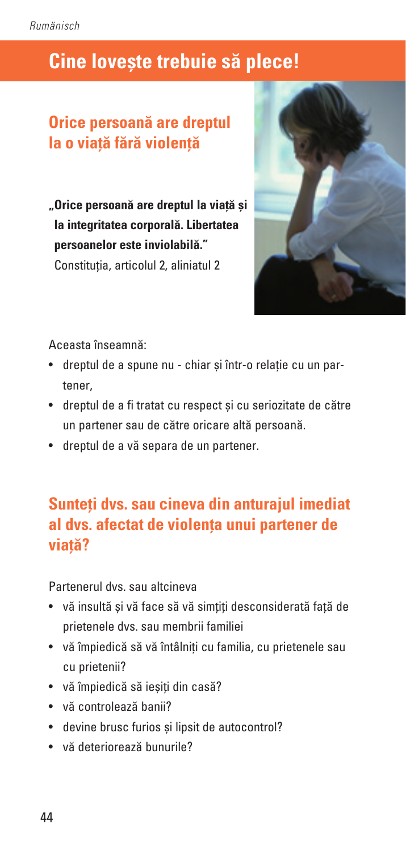# **Cine lovește trebuie să plece!**

# **Orice persoană are dreptul la o viață fără violență**

**"Orice persoană are dreptul la viață și la integritatea corporală. Libertatea persoanelor este inviolabilă."** Constituția, articolul 2, aliniatul 2



Aceasta înseamnă:

- dreptul de a spune nu chiar și într-o relație cu un partener,
- dreptul de a fi tratat cu respect și cu seriozitate de către un partener sau de către oricare altă persoană.
- dreptul de a vă separa de un partener.

# **Sunteți dvs. sau cineva din anturajul imediat al dvs. afectat de violența unui partener de viață?**

Partenerul dvs. sau altcineva

- vă insultă și vă face să vă simțiți desconsiderată față de prietenele dvs. sau membrii familiei
- vă împiedică să vă întâlniți cu familia, cu prietenele sau cu prietenii?
- vă împiedică să ieșiți din casă?
- vă controlează banii?
- devine brusc furios și lipsit de autocontrol?
- vă deteriorează bunurile?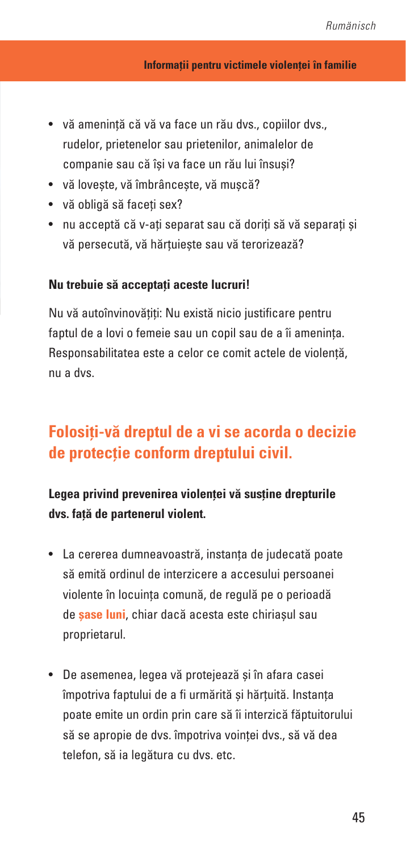- vă amenință că vă va face un rău dvs., copiilor dvs., rudelor, prietenelor sau prietenilor, animalelor de companie sau că își va face un rău lui însuși?
- vă lovește, vă îmbrâncește, vă mușcă?
- vă obligă să faceți sex?
- nu acceptă că v-ați separat sau că doriți să vă separați și vă persecută, vă hărțuiește sau vă terorizează?

### **Nu trebuie să acceptați aceste lucruri!**

Nu vă autoînvinovățiți: Nu există nicio justificare pentru faptul de a lovi o femeie sau un copil sau de a îi amenința. Responsabilitatea este a celor ce comit actele de violență, nu a dvs.

# **Folosiți-vă dreptul de a vi se acorda o decizie de protecție conform dreptului civil.**

**Legea privind prevenirea violenței vă susține drepturile dvs. față de partenerul violent.**

- La cererea dumneavoastră, instanța de judecată poate să emită ordinul de interzicere a accesului persoanei violente în locuința comună, de regulă pe o perioadă de **șase luni**, chiar dacă acesta este chiriașul sau proprietarul.
- De asemenea, legea vă protejează și în afara casei împotriva faptului de a fi urmărită și hărțuită. Instanța poate emite un ordin prin care să îi interzică făptuitorului să se apropie de dvs. împotriva voinței dvs., să vă dea telefon, să ia legătura cu dvs. etc.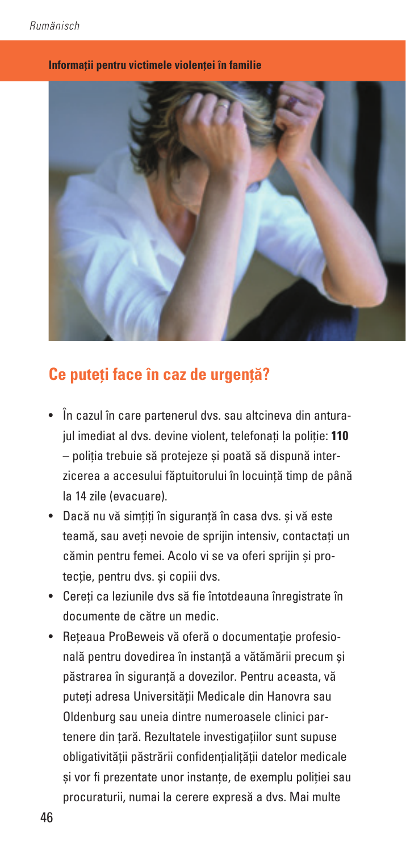

**Informații pentru victimele violenței în familie**

## **Ce puteți face în caz de urgență?**

- În cazul în care partenerul dvs. sau altcineva din anturajul imediat al dvs. devine violent, telefonați la poliție: **110** – poliția trebuie să protejeze și poată să dispună interzicerea a accesului făptuitorului în locuință timp de până la 14 zile (evacuare).
- Dacă nu vă simțiți în siguranță în casa dvs. și vă este teamă, sau aveți nevoie de sprijin intensiv, contactați un cămin pentru femei. Acolo vi se va oferi sprijin și protecție, pentru dvs. și copiii dvs.
- Cereți ca leziunile dvs să fie întotdeauna înregistrate în documente de către un medic.
- Rețeaua ProBeweis vă oferă o documentație profesională pentru dovedirea în instanță a vătămării precum și păstrarea în siguranță a dovezilor. Pentru aceasta, vă puteți adresa Universității Medicale din Hanovra sau Oldenburg sau uneia dintre numeroasele clinici partenere din țară. Rezultatele investigațiilor sunt supuse obligativității păstrării confidențialițății datelor medicale și vor fi prezentate unor instanțe, de exemplu poliției sau procuraturii, numai la cerere expresă a dvs. Mai multe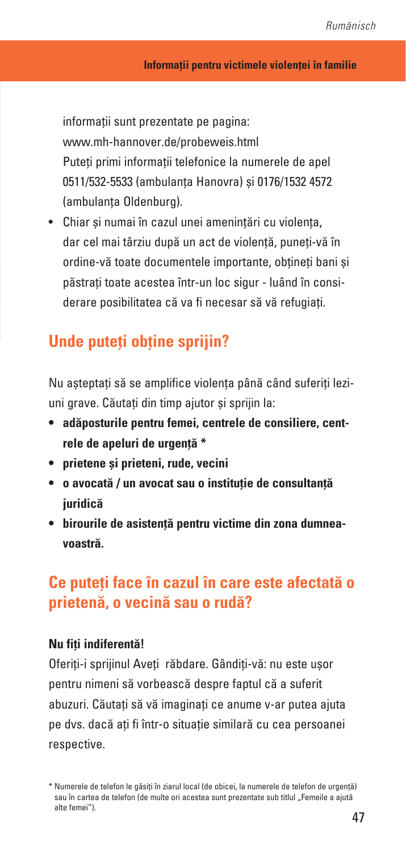informații sunt prezentate pe pagina: www.mh-hannover.de/probeweis.html Puteți primi informații telefonice la numerele de apel 0511/532-5533 (ambulanța Hanovra) și 0176/1532 4572 (ambulanța Oldenburg).

• Chiar și numai în cazul unei amenințări cu violența, dar cel mai târziu după un act de violență, puneți-vă în ordine-vă toate documentele importante, obțineți bani și păstrați toate acestea într-un loc sigur - luând în considerare posibilitatea că va fi necesar să vă refugiați.

## **Unde puteți obține sprijin?**

Nu așteptați să se amplifice violența până când suferiți leziuni grave. Căutați din timp ajutor și sprijin la:

- **• adăposturile pentru femei, centrele de consiliere, centrele de apeluri de urgență \***
- **• prietene și prieteni, rude, vecini**
- **• o avocată / un avocat sau o instituție de consultanță juridică**
- **• birourile de asistență pentru victime din zona dumneavoastră.**

## **Ce puteți face în cazul în care este afectată o prietenă, o vecină sau o rudă?**

### **Nu fiți indiferentă!**

Oferiți-i sprijinul Aveți răbdare. Gândiți-vă: nu este ușor pentru nimeni să vorbească despre faptul că a suferit abuzuri. Căutați să vă imaginați ce anume v-ar putea ajuta pe dvs. dacă ați fi într-o situație similară cu cea persoanei respective.

<sup>\*</sup> Numerele de telefon le găsiți în ziarul local (de obicei, la numerele de telefon de urgență) sau în cartea de telefon (de multe ori acestea sunt prezentate sub titlul "Femeile a ajută alte femei").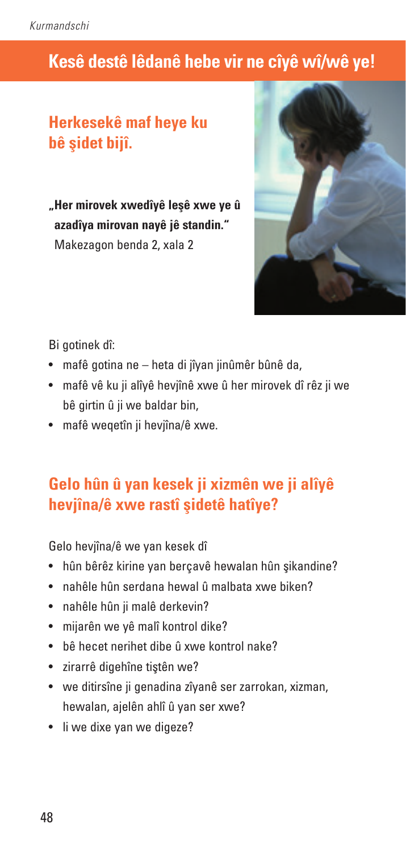# **Kesê destê lêdanê hebe vir ne cîyê wî/wê ye!**

# **Herkesekê maf heye ku bê şidet bijî.**

**"Her mirovek xwedîyê leşê xwe ye û azadîya mirovan nayê jê standin."** Makezagon benda 2, xala 2



Bi gotinek dî:

- mafê gotina ne heta di jîyan jinûmêr bûnê da,
- mafê vê ku ji alîyê hevjînê xwe û her mirovek dî rêz ji we bê girtin û ji we baldar bin,
- mafê weqetîn ji hevjîna/ê xwe.

## **Gelo hûn û yan kesek ji xizmên we ji alîyê hevjîna/ê xwe rastî şidetê hatîye?**

Gelo hevjîna/ê we yan kesek dî

- hûn bêrêz kirine yan berçavê hewalan hûn şikandine?
- nahêle hûn serdana hewal û malbata xwe biken?
- nahêle hûn ji malê derkevin?
- mijarên we yê malî kontrol dike?
- bê hecet nerihet dibe û xwe kontrol nake?
- zirarrê digehîne tiştên we?
- we ditirsîne ji genadina zîvanê ser zarrokan, xizman, hewalan, ajelên ahlî û yan ser xwe?
- li we dixe yan we digeze?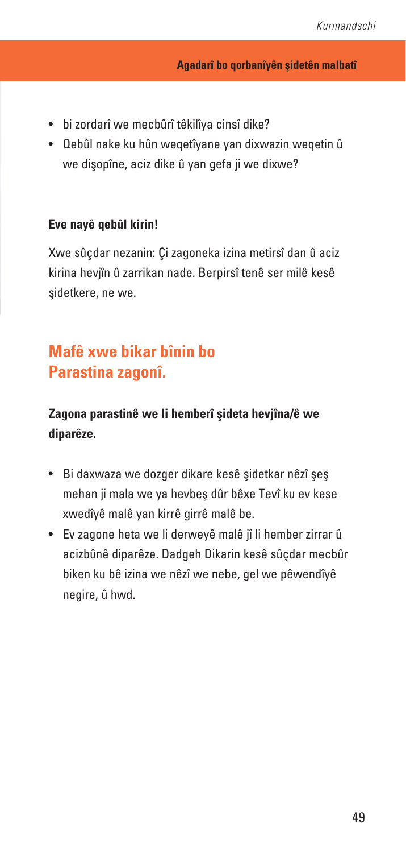- bi zordarî we mecbûrî têkilîya cinsî dike?
- Qebûl nake ku hûn weqetîyane yan dixwazin weqetin û we dişopîne, aciz dike û yan gefa ji we dixwe?

### **Eve nayê qebûl kirin!**

Xwe sûçdar nezanin: Çi zagoneka izina metirsî dan û aciz kirina hevjîn û zarrikan nade. Berpirsî tenê ser milê kesê şidetkere, ne we.

# **Mafê xwe bikar bînin bo Parastina zagonî.**

### **Zagona parastinê we li hemberî şideta hevjîna/ê we diparêze.**

- Bi daxwaza we dozger dikare kesê şidetkar nêzî şeş mehan ji mala we ya hevbeş dûr bêxe Tevî ku ev kese xwedîyê malê yan kirrê girrê malê be.
- Ev zagone heta we li derweyê malê jî li hember zirrar û acizbûnê diparêze. Dadgeh Dikarin kesê sûçdar mecbûr biken ku bê izina we nêzî we nebe, gel we pêwendîyê negire, û hwd.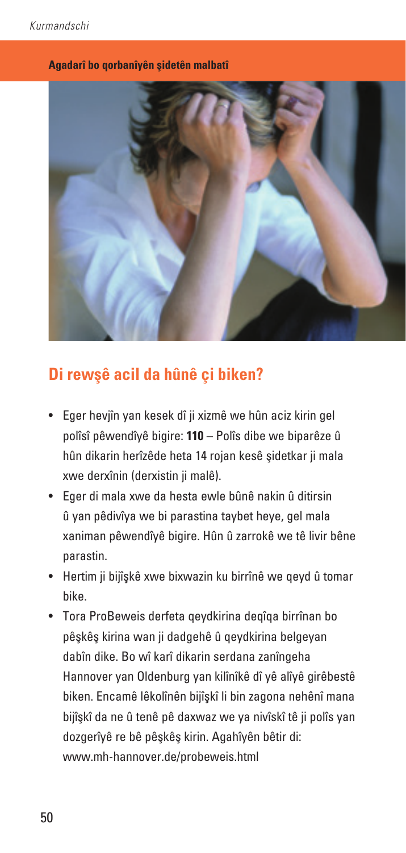#### **Agadarî bo qorbanîyên şidetên malbatî**



## **Di rewşê acil da hûnê çi biken?**

- Eger hevjîn yan kesek dî ji xizmê we hûn aciz kirin gel polîsî pêwendîyê bigire: **110** – Polîs dibe we biparêze û hûn dikarin herîzêde heta 14 rojan kesê şidetkar ji mala xwe derxînin (derxistin ji malê).
- Eger di mala xwe da hesta ewle bûnê nakin û ditirsin û yan pêdivîya we bi parastina taybet heye, gel mala xaniman pêwendîyê bigire. Hûn û zarrokê we tê livir bêne parastin.
- Hertim ji bijîşkê xwe bixwazin ku birrînê we qeyd û tomar bike.
- Tora ProBeweis derfeta qeydkirina deqîqa birrînan bo pêşkêş kirina wan ji dadgehê û qeydkirina belgeyan dabîn dike. Bo wî karî dikarin serdana zanîngeha Hannover yan Oldenburg yan kilînîkê dî yê alîyê girêbestê biken. Encamê lêkolînên bijîşkî li bin zagona nehênî mana bijîşkî da ne û tenê pê daxwaz we ya nivîskî tê ji polîs yan dozgerîyê re bê pêşkêş kirin. Agahîyên bêtir di: www.mh-hannover.de/probeweis.html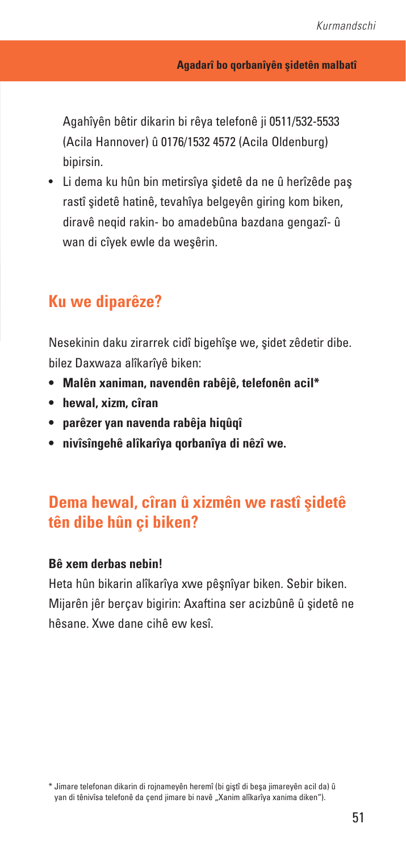Agahîyên bêtir dikarin bi rêya telefonê ji 0511/532-5533 (Acila Hannover) û 0176/1532 4572 (Acila Oldenburg) bipirsin.

• Li dema ku hûn bin metirsîya şidetê da ne û herîzêde paş rastî şidetê hatinê, tevahîya belgeyên giring kom biken, diravê neqid rakin- bo amadebûna bazdana gengazî- û wan di cîyek ewle da weşêrin.

## **Ku we diparêze?**

Nesekinin daku zirarrek cidî bigehîşe we, şidet zêdetir dibe. bilez Daxwaza alîkarîyê biken:

- **• Malên xaniman, navendên rabêjê, telefonên acil\***
- **• hewal, xizm, cîran**
- **• parêzer yan navenda rabêja hiqûqî**
- **• nivîsîngehê alîkarîya qorbanîya di nêzî we.**

# **Dema hewal, cîran û xizmên we rastî şidetê tên dibe hûn çi biken?**

#### **Bê xem derbas nebin!**

Heta hûn bikarin alîkarîya xwe pêşnîyar biken. Sebir biken. Mijarên jêr berçav bigirin: Axaftina ser acizbûnê û şidetê ne hêsane. Xwe dane cihê ew kesî.

<sup>\*</sup> Jimare telefonan dikarin di rojnameyên heremî (bi giştî di beşa jimareyên acil da) û yan di tênivîsa telefonê da çend jimare bi navê "Xanim alîkarîya xanima diken").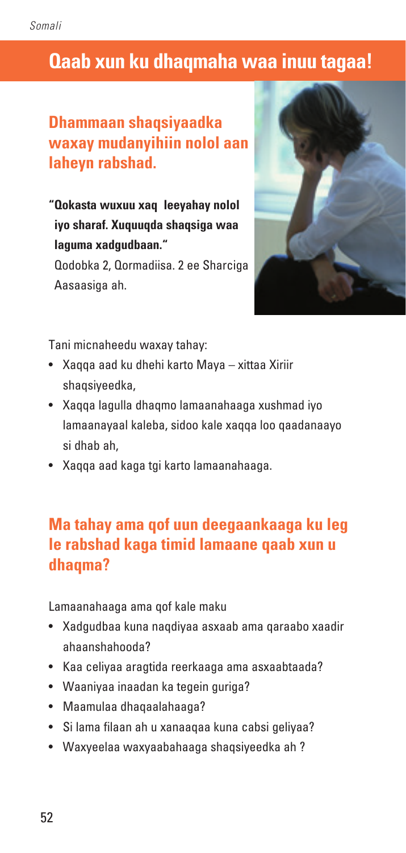# **Qaab xun ku dhaqmaha waa inuu tagaa!**

# **Dhammaan shaqsiyaadka waxay mudanyihiin nolol aan laheyn rabshad.**

**"Qokasta wuxuu xaq leeyahay nolol iyo sharaf. Xuquuqda shaqsiga waa laguma xadgudbaan."** 

Qodobka 2, Qormadiisa. 2 ee Sharciga Aasaasiga ah.



Tani micnaheedu waxay tahay:

- Xaqqa aad ku dhehi karto Maya xittaa Xiriir shaqsiyeedka,
- Xaqqa lagulla dhaqmo lamaanahaaga xushmad iyo lamaanayaal kaleba, sidoo kale xaqqa loo qaadanaayo si dhab ah,
- Xaqqa aad kaga tgi karto lamaanahaaga.

# **Ma tahay ama qof uun deegaankaaga ku leg le rabshad kaga timid lamaane qaab xun u dhaqma?**

Lamaanahaaga ama qof kale maku

- Xadgudbaa kuna naqdiyaa asxaab ama qaraabo xaadir ahaanshahooda?
- Kaa celiyaa aragtida reerkaaga ama asxaabtaada?
- Waaniyaa inaadan ka tegein guriga?
- Maamulaa dhaqaalahaaga?
- Si lama filaan ah u xanaaqaa kuna cabsi geliyaa?
- Waxyeelaa waxyaabahaaga shaqsiyeedka ah ?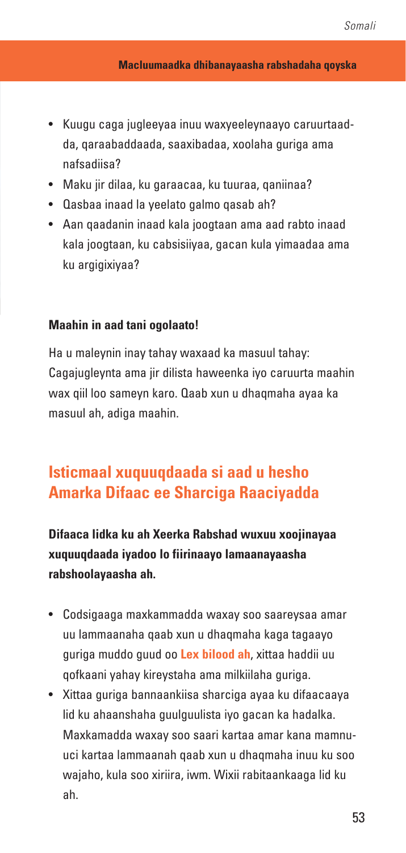- Kuugu caga jugleeyaa inuu waxyeeleynaayo caruurtaadda, qaraabaddaada, saaxibadaa, xoolaha guriga ama nafsadiisa?
- Maku jir dilaa, ku garaacaa, ku tuuraa, qaniinaa?
- Qasbaa inaad la yeelato galmo qasab ah?
- Aan qaadanin inaad kala joogtaan ama aad rabto inaad kala joogtaan, ku cabsisiiyaa, gacan kula yimaadaa ama ku argigixiyaa?

### **Maahin in aad tani ogolaato!**

Ha u maleynin inay tahay waxaad ka masuul tahay: Cagajugleynta ama jir dilista haweenka iyo caruurta maahin wax qiil loo sameyn karo. Qaab xun u dhaqmaha ayaa ka masuul ah, adiga maahin.

# **Isticmaal xuquuqdaada si aad u hesho Amarka Difaac ee Sharciga Raaciyadda**

**Difaaca lidka ku ah Xeerka Rabshad wuxuu xoojinayaa xuquuqdaada iyadoo lo fiirinaayo lamaanayaasha rabshoolayaasha ah.**

- Codsigaaga maxkammadda waxay soo saareysaa amar uu lammaanaha qaab xun u dhaqmaha kaga tagaayo guriga muddo guud oo **Lex bilood ah**, xittaa haddii uu qofkaani yahay kireystaha ama milkiilaha guriga.
- Xittaa guriga bannaankiisa sharciga ayaa ku difaacaaya lid ku ahaanshaha guulguulista iyo gacan ka hadalka. Maxkamadda waxay soo saari kartaa amar kana mamnuuci kartaa lammaanah qaab xun u dhaqmaha inuu ku soo wajaho, kula soo xiriira, iwm. Wixii rabitaankaaga lid ku ah.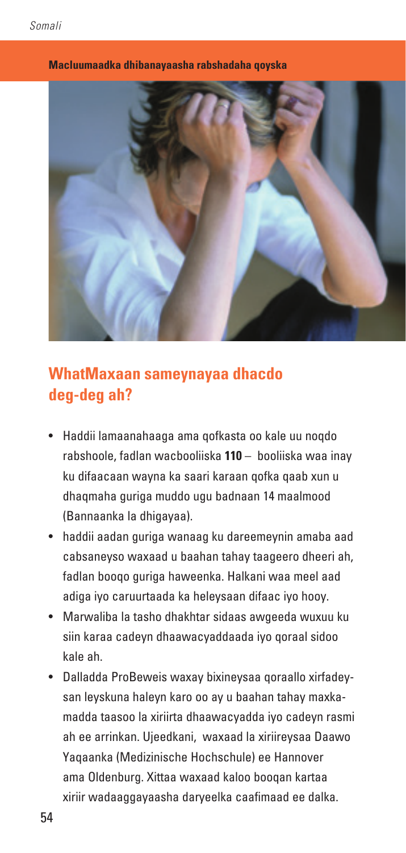

#### **Macluumaadka dhibanayaasha rabshadaha qoyska**

## **WhatMaxaan sameynayaa dhacdo deg-deg ah?**

- Haddii lamaanahaaga ama qofkasta oo kale uu noqdo rabshoole, fadlan wacbooliiska **110** – booliiska waa inay ku difaacaan wayna ka saari karaan qofka qaab xun u dhaqmaha guriga muddo ugu badnaan 14 maalmood (Bannaanka la dhigayaa).
- haddii aadan guriga wanaag ku dareemeynin amaba aad cabsaneyso waxaad u baahan tahay taageero dheeri ah, fadlan booqo guriga haweenka. Halkani waa meel aad adiga iyo caruurtaada ka heleysaan difaac iyo hooy.
- Marwaliba la tasho dhakhtar sidaas awgeeda wuxuu ku siin karaa cadeyn dhaawacyaddaada iyo qoraal sidoo kale ah.
- Dalladda ProBeweis waxay bixineysaa qoraallo xirfadeysan leyskuna haleyn karo oo ay u baahan tahay maxkamadda taasoo la xiriirta dhaawacyadda iyo cadeyn rasmi ah ee arrinkan. Ujeedkani, waxaad la xiriireysaa Daawo Yaqaanka (Medizinische Hochschule) ee Hannover ama Oldenburg. Xittaa waxaad kaloo booqan kartaa xiriir wadaaggayaasha daryeelka caafimaad ee dalka.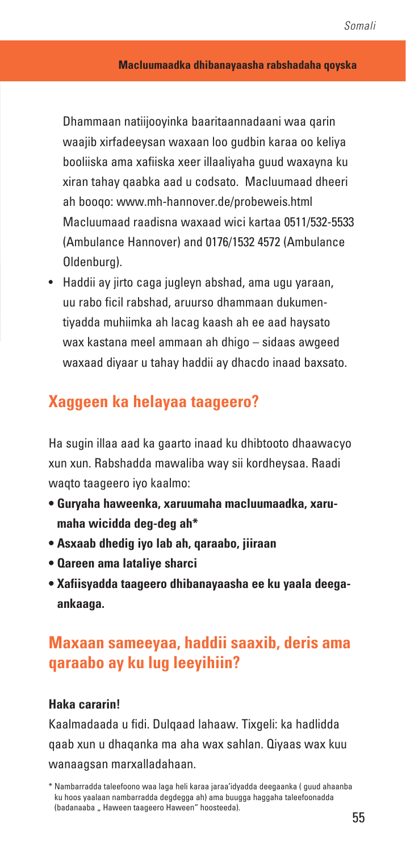#### **Macluumaadka dhibanayaasha rabshadaha qoyska**

Dhammaan natiijooyinka baaritaannadaani waa qarin waajib xirfadeeysan waxaan loo gudbin karaa oo keliya booliiska ama xafiiska xeer illaaliyaha guud waxayna ku xiran tahay qaabka aad u codsato. Macluumaad dheeri ah booqo: www.mh-hannover.de/probeweis.html Macluumaad raadisna waxaad wici kartaa 0511/532-5533 (Ambulance Hannover) and 0176/1532 4572 (Ambulance Oldenburg).

• Haddii ay jirto caga jugleyn abshad, ama ugu yaraan, uu rabo ficil rabshad, aruurso dhammaan dukumentiyadda muhiimka ah lacag kaash ah ee aad haysato wax kastana meel ammaan ah dhigo – sidaas awgeed waxaad diyaar u tahay haddii ay dhacdo inaad baxsato.

## **Xaggeen ka helayaa taageero?**

Ha sugin illaa aad ka gaarto inaad ku dhibtooto dhaawacyo xun xun. Rabshadda mawaliba way sii kordheysaa. Raadi waqto taageero iyo kaalmo:

- **Guryaha haweenka, xaruumaha macluumaadka, xarumaha wicidda deg-deg ah\***
- **Asxaab dhedig iyo lab ah, qaraabo, jiiraan**
- **Qareen ama lataliye sharci**
- **Xafiisyadda taageero dhibanayaasha ee ku yaala deegaankaaga.**

# **Maxaan sameeyaa, haddii saaxib, deris ama qaraabo ay ku lug leeyihiin?**

### **Haka cararin!**

Kaalmadaada u fidi. Dulqaad lahaaw. Tixgeli: ka hadlidda qaab xun u dhaqanka ma aha wax sahlan. Qiyaas wax kuu wanaagsan marxalladahaan.

<sup>\*</sup> Nambarradda taleefoono waa laga heli karaa jaraa'idyadda deegaanka ( guud ahaanba ku hoos yaalaan nambarradda degdegga ah) ama buugga haggaha taleefoonadda (badanaaba .. Haween taageero Haween" hoosteeda).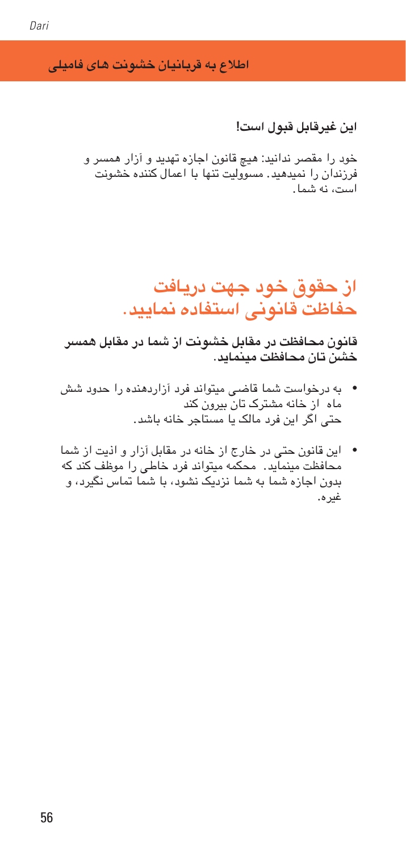**اطالع به قربانیان خشونت های فامیلی** 

**این غیرقابل قبول است!**

خود را مقصر ندانید: هیچ قانون اجازه تهدید و آزار همسر و فرزندان را منیدهید. مسوولیت تهنا با امعال کننده خشونت است، نه مشا.

# **از حقوق خود جهت دریافت حفاظت قانونی استفاده منایید.**

**قانون حمافظت در مقابل خشونت از مشا در مقابل مهرس خشن تان حمافظت میمناید.** 

- به درخواست مشا قاضی میتواند فرد آزاردهنده را حدود شش ماه از خانه مشرتک تان بیرون کند حتی اگر این فرد مالک یا مستاجر خانه باشد.
- این قانون حتی در خارج از خانه در مقابل آزار و اذیت از مشا حمافظت میمناید. حمکمه میتواند فرد خاطی را موظف کند که بدون اجازه شما به شما نزدیک نشود، با شما تماس نگیرد، و غیره.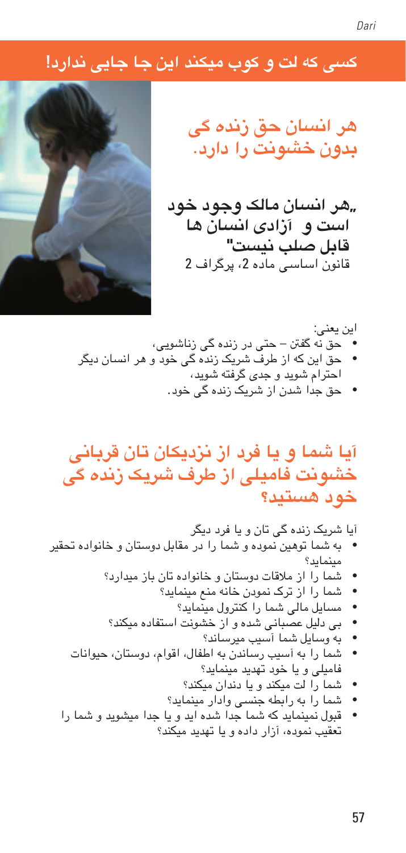# **کسی که لت و کوب میکند این جا جایی ندارد!**



**هر انسان حق زنده گی بدون خشونت را دارد.**

**"هر انسان مالک وجود خود است و آزادی انسان ها قابل صلب نیست"** قانون اساسی ماده 2، پرگراف 2

این یعنی: • حق نه گفنت – حتی در زنده گی زناشویی، • حق این که از طرف رشیک زنده گی خود و هر انسان دیگر احرتام شوید و جدی گرفته شوید، • حق جدا شدن از رشیک زنده گی خود.

# **آیا مشا و یا فرد از نزدیکان تان قربانی خشونت فامیلی از طرف رشیک زنده گی خود هستید؟**

آیا رشیک زنده گی تان و یا فرد دیگر • به مشا توهین منوده و مشا را در مقابل دوستان و خانواده حتقیر میمناید؟ • مشا را از مالقات دوستان و خانواده تان باز میدارد؟ • مشا را از ترک منودن خانه منع میمناید؟ • مسایل مالی مشا را کنرتول میمناید؟ • بی دلیل عصبانی شده و از خشونت استفاده میکند؟ • به وسایل مشا آسیب میرساند؟ • مشا را به آسیب رساندن به اطفال، اقوام، دوستان، حیوانات فامیلی و یا خود هتدید میمناید؟

• مشا را لت میکند و یا دندان میکند؟

• مشا را به رابطه جنسی وادار میمناید؟

• قبول منیمناید که مشا جدا شده اید و یا جدا میشوید و مشا را تعقیب منوده، آزار داده و یا هتدید میکند؟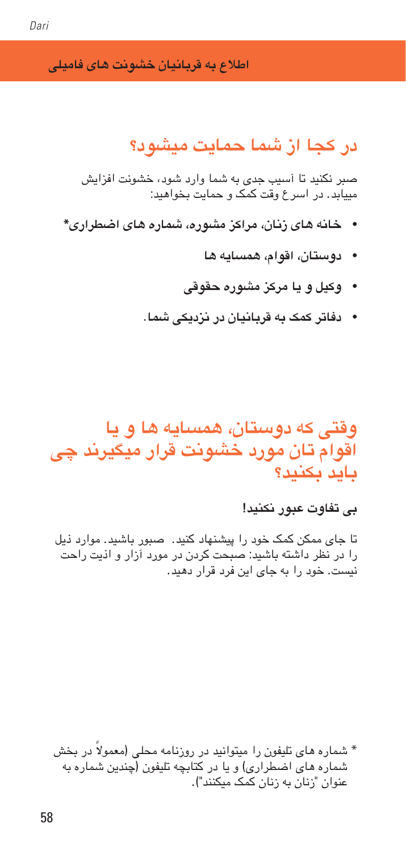**اطالع به قربانیان خشونت های فامیلی** 

# **در کجا از مشا محایت میشود؟**

صرب نکنید تا آسیب جدی به مشا وارد شود، خشونت افزایش مییابد. در ارسع وقت کمک و محایت خبواهید:

- **خانه های زنان، مراکز مشوره، مشاره های اضطراری\***
	- **دوستان، اقوام، مهسایه ها**
	- **وکیل و یا مرکز مشوره حقوقی**
	- **دفاتر کمک به قربانیان در نزدیکی مشا.**

**وقتی که دوستان، مهسایه ها و یا اقوام تان مورد خشونت قرار میگیرند چی باید بکنید؟**

### **بی تفاوت عبور نکنید!**

تا جای ممکن کمک خود را پیشهناد کنید. صبور باشید. موارد ذیل را در نظر داشته باشید: صبحت کردن در مورد آزار و اذیت راحت نیست. خود را به جای این فرد قرار دهید.

\* مشاره های تلیفون را میتوانید در روزنامه حملی ) ً معموال در خبش شماره های اضطراری) و یا در کتابچه تلیفون (چندین شماره به عنوان "زنان به زنان کمک میکنند"(.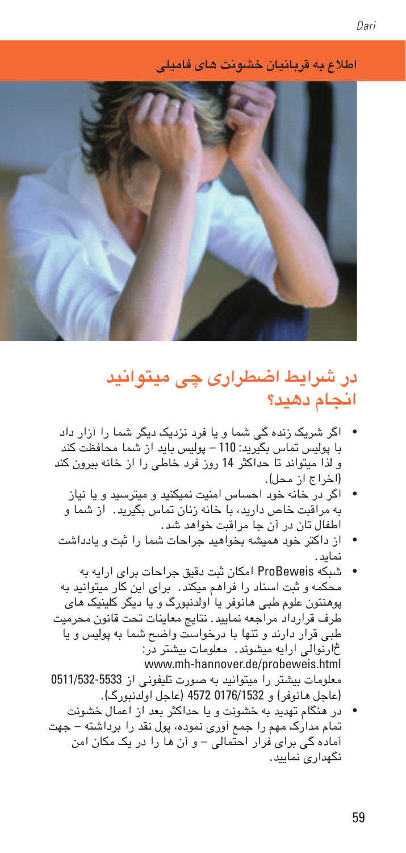59

**اطالع به قربانیان خشونت های فامیلی** 



# **در رشایط اضطراری چی میتوانید اجنام دهید؟**

- اگر رشیک زنده گی مشا و یا فرد نزدیک دیگر مشا را آزار داد با پولیس متاس بگیرید: 110 – پولیس باید از مشا حمافظت کند و لذا میتواند تا حداکرث 14 روز فرد خاطی را از خانه بیرون کند )اخراج از حمل(.
	- اگر در خانه خود احساس امنیت منیکنید و میرتسید و یا نیاز به مراقبت خاص دارید، با خانه زنان متاس بگیرید. از مشا و اطفال تان در آن جا مراقبت خواهد شد.
- از داکرت خود مهیشه خبواهید جراحات مشا را ثبت و یادداشت نماید.
- شبکه ProBeweis امکان ثبت دقیق جراحات برای ارایه به حمکمه و ثبت اسناد را فرامه میکند. برای این کار میتوانید به پوهنتون علوم طبی هانوفر یا اولدنبورگ و یا دیگر کلینیک های طرف قرارداد مراجعه منایید. نتایج معاینات حتت قانون حمرمیت طبی قرار دارند و تهنا با درخواست واحض مشا به پولیس و یا څارنوالی ارایه میشوند. معلومات بیشرت در: www.mh-hannover.de/probeweis.html معلومات بیشرت را میتوانید به صورت تلیفونی از 0511/532-5533 )عاجل هانوفر( و 0176/1532 4572 )عاجل اولدنبورگ(.
- در هنگام تهدید به خشونت و یا حداکثر بعد از اعمال خشونت متام مدارک مهم را مجع آوری منوده، پول نقد را برداشته – جهت آماده گی برای فرار احمتالی – و آن ها را در یک مکان امن نگهداری منایید.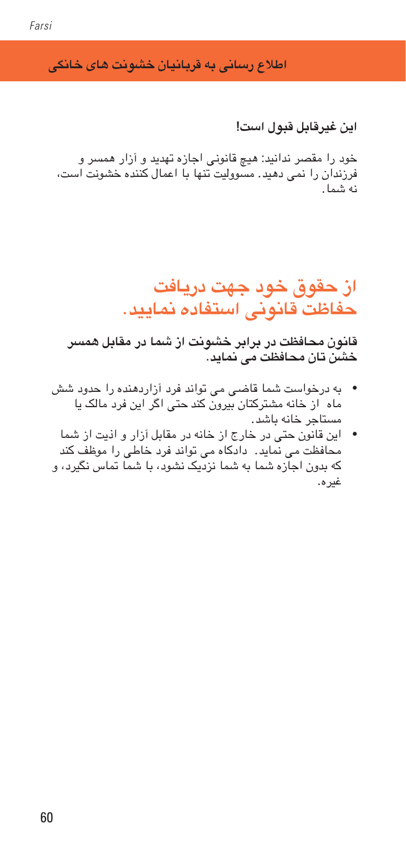**اطالع رسانی به قربانیان خشونت های خانگی** 

**این غیرقابل قبول است!**

خود را مقصر ندانید: هیچ قانونی اجازه تهدید و آزار همسر و فرزندان را منی دهید. مسوولیت تهنا با امعال کننده خشونت است، نه مشا.

# **از حقوق خود جهت دریافت حفاظت قانونی استفاده منایید.**

**قانون حمافظت در برابر خشونت از مشا در مقابل مهرس خشن تان حمافظت می مناید.** 

- به درخواست مشا قاضی می تواند فرد آزاردهنده را حدود شش ماه از خانه مشرتکتان بیرون کند حتی اگر این فرد مالک یا مستاجر خانه باشد.
- این قانون حتی در خارج از خانه در مقابل آزار و اذیت از مشا حمافظت می مناید. دادکاه می تواند فرد خاطی را موظف کند که بدون اجازه مشا به مشا نزدیک نشود، با مشا متاس نگیرد، و غیره.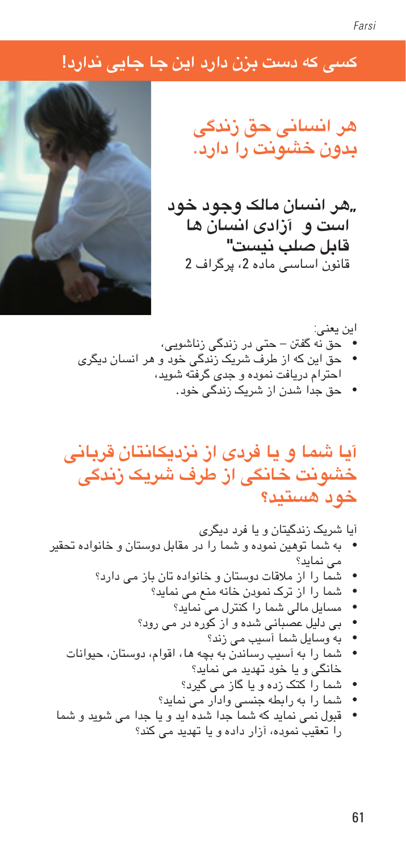# **کسی که دست بزن دارد این جا جایی ندارد!**



**هر انسانی حق زندگی بدون خشونت را دارد.**

**"هر انسان مالک وجود خود است و آزادی انسان ها قابل صلب نیست"** قانون اساسی ماده ،2 پرگراف 2

این یعنی: • حق نه گفنت – حتی در زندگی زناشویی، • حق این که از طرف رشیک زندگی خود و هر انسان دیگری احرتام دریافت منوده و جدی گرفته شوید، • حق جدا شدن از رشیک زندگی خود.

**آیا مشا و یا فردی از نزدیکانتان قربانی خشونت خانگی از طرف رشیک زندگی خود هستید؟**

آیا رشیک زندگیتان و یا فرد دیگری • به مشا توهین منوده و مشا را در مقابل دوستان و خانواده حتقیر می مناید؟ • مشا را از مالقات دوستان و خانواده تان باز می دارد؟ • مشا را از ترک منودن خانه منع می مناید؟ • مسایل مالی مشا را کنرتل می مناید؟ • بی دلیل عصبانی شده و از کوره در می رود؟ • به وسایل مشا آسیب می زند؟ • مشا را به آسیب رساندن به بچه ها، اقوام، دوستان، حیوانات خانگی و یا خود هتدید می مناید؟ • مشا را کتک زده و یا گاز می گیرد؟ • مشا را به رابطه جنسی وادار می مناید؟ • قبول منی مناید که مشا جدا شده اید و یا جدا می شوید و مشا را تعقیب منوده، آزار داده و یا هتدید می کند؟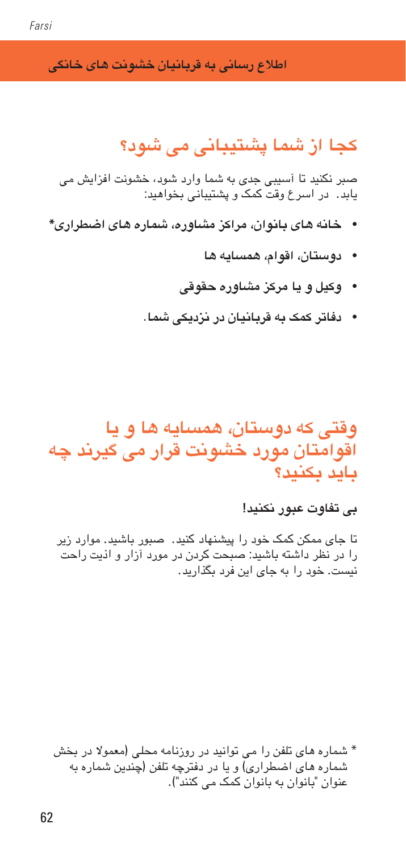**اطالع رسانی به قربانیان خشونت های خانگی** 

# **کجا از مشا پشتیبانی می شود؟**

صرب نکنید تا آسیبی جدی به مشا وارد شود، خشونت افزایش می یابد. در اسرع وقت کمک و پشتیبانی بخواهید:

- **خانه های بانوان، مراکز مشاوره، مشاره های اضطراری\***
	- **دوستان، اقوام، مهسایه ها**
	- **وکیل و یا مرکز مشاوره حقوقی**
	- **دفاتر کمک به قربانیان در نزدیکی مشا.**

**وقتی که دوستان، مهسایه ها و یا اقوامتان مورد خشونت قرار می گیرند چه باید بکنید؟**

### **بی تفاوت عبور نکنید!**

تا جای ممکن کمک خود را پیشهناد کنید. صبور باشید. موارد زیر را در نظر داشته باشید: صبحت کردن در مورد آزار و اذیت راحت نیست. خود را به جای این فرد بگذارید.

\* مشاره های تلفن را می توانید در روزنامه حملی )معموال در خبش شماره های اضطراری) و یا در دفترچه تلفن (چندین شماره به عنوان "بانوان به بانوان کمک می کنند"(.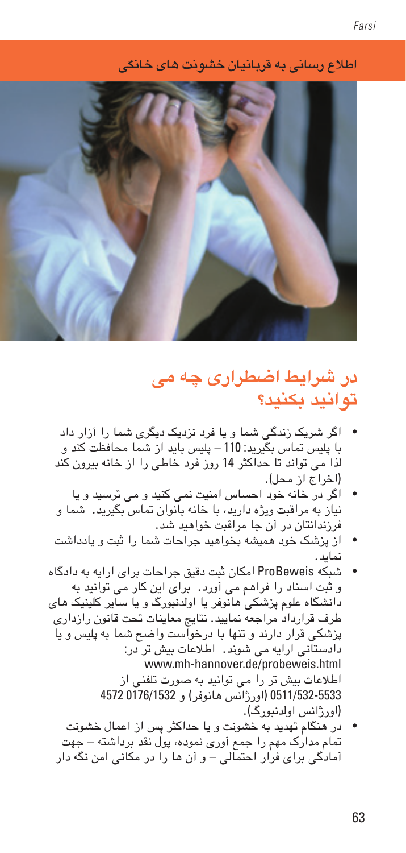**اطالع رسانی به قربانیان خشونت های خانگی** 



# **در رشایط اضطراری چه می توانید بکنید؟**

- اگر رشیک زندگی مشا و یا فرد نزدیک دیگری مشا را آزار داد با پلیس متاس بگیرید: 110 – پلیس باید از مشا حمافظت کند و لذا می تواند تا حداکرث 14 روز فرد خاطی را از خانه بیرون کند )اخراج از حمل(.
- اگر در خانه خود احساس امنیت منی کنید و می ترسید و یا نیاز به مراقبت ویژه دارید، با خانه بانوان متاس بگیرید. مشا و فرزندانتان در آن جا مراقبت خواهید شد.
- از پزشک خود مهیشه خبواهید جراحات مشا را ثبت و یادداشت نماید.
- شبکه ProBeweis امکان ثبت دقیق جراحات برای ارایه به دادگاه و ثبت اسناد را فرامه می آورد. برای این کار می توانید به دانشگاه علوم پزشکی هانوفر یا اولدنبورگ و یا سایر کلینیک های طرف قرارداد مراجعه منایید. نتایج معاینات حتت قانون رازداری پزشکی قرار دارند و تهنا با درخواست واحض مشا به پلیس و یا دادستانی ارایه می شوند. اطالعات بیش تر در: www.mh-hannover.de/probeweis.html اطالعات بیش تر را می توانید به صورت تلفنی از 0511/532-5533 )اورژانس هانوفر( و 0176/1532 4572 )اورژانس اولدنبورگ(. • در هنگام هتدید به خشونت و یا حداکرث پس از امعال خشونت
	- متام مدارک مهم را مجع آوری منوده، پول نقد برداشته جهت آمادگی برای فرار احمتالی – و آن ها را در مکانی امن نگه دار